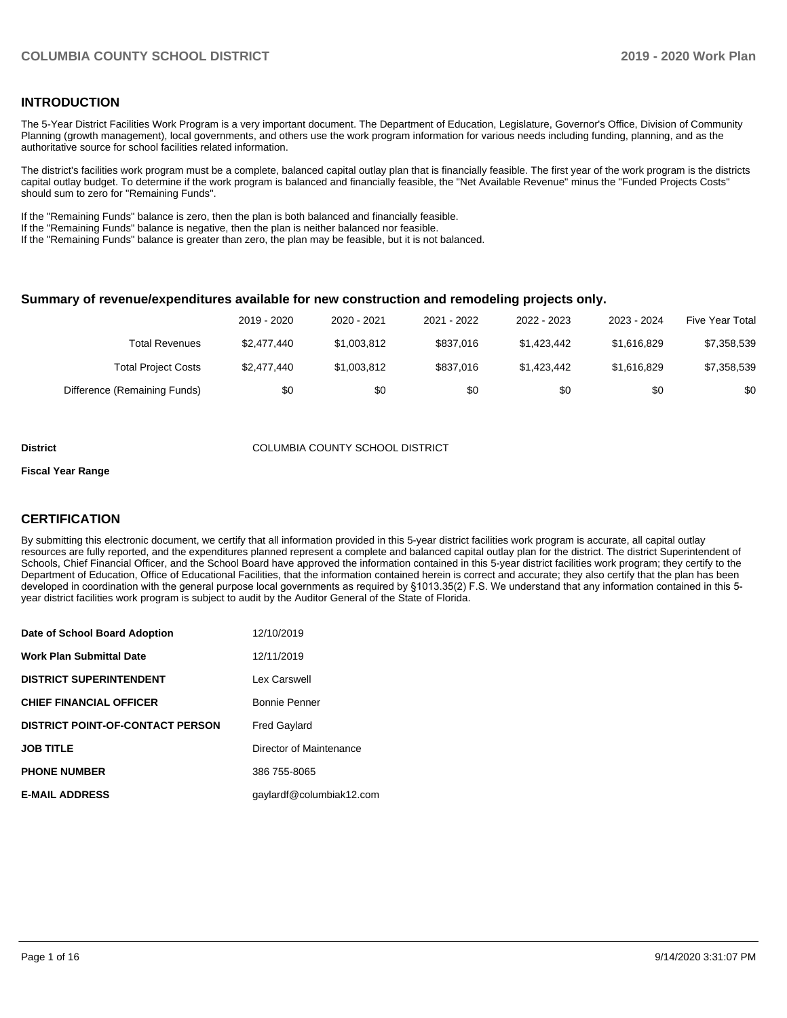## **INTRODUCTION**

The 5-Year District Facilities Work Program is a very important document. The Department of Education, Legislature, Governor's Office, Division of Community Planning (growth management), local governments, and others use the work program information for various needs including funding, planning, and as the authoritative source for school facilities related information.

The district's facilities work program must be a complete, balanced capital outlay plan that is financially feasible. The first year of the work program is the districts capital outlay budget. To determine if the work program is balanced and financially feasible, the "Net Available Revenue" minus the "Funded Projects Costs" should sum to zero for "Remaining Funds".

If the "Remaining Funds" balance is zero, then the plan is both balanced and financially feasible.

If the "Remaining Funds" balance is negative, then the plan is neither balanced nor feasible.

If the "Remaining Funds" balance is greater than zero, the plan may be feasible, but it is not balanced.

### **Summary of revenue/expenditures available for new construction and remodeling projects only.**

|                              | 2019 - 2020 | 2020 - 2021 | 2021 - 2022 | 2022 - 2023 | 2023 - 2024 | <b>Five Year Total</b> |
|------------------------------|-------------|-------------|-------------|-------------|-------------|------------------------|
| Total Revenues               | \$2,477,440 | \$1,003,812 | \$837,016   | \$1.423.442 | \$1.616.829 | \$7,358,539            |
| <b>Total Project Costs</b>   | \$2,477,440 | \$1,003,812 | \$837,016   | \$1,423,442 | \$1,616,829 | \$7,358,539            |
| Difference (Remaining Funds) | \$0         | \$0         | \$0         | \$0         | \$0         | \$0                    |

#### **District** COLUMBIA COUNTY SCHOOL DISTRICT

#### **Fiscal Year Range**

# **CERTIFICATION**

By submitting this electronic document, we certify that all information provided in this 5-year district facilities work program is accurate, all capital outlay resources are fully reported, and the expenditures planned represent a complete and balanced capital outlay plan for the district. The district Superintendent of Schools, Chief Financial Officer, and the School Board have approved the information contained in this 5-year district facilities work program; they certify to the Department of Education, Office of Educational Facilities, that the information contained herein is correct and accurate; they also certify that the plan has been developed in coordination with the general purpose local governments as required by §1013.35(2) F.S. We understand that any information contained in this 5 year district facilities work program is subject to audit by the Auditor General of the State of Florida.

| Date of School Board Adoption           | 12/10/2019               |
|-----------------------------------------|--------------------------|
| Work Plan Submittal Date                | 12/11/2019               |
| <b>DISTRICT SUPERINTENDENT</b>          | Lex Carswell             |
| <b>CHIEF FINANCIAL OFFICER</b>          | Bonnie Penner            |
| <b>DISTRICT POINT-OF-CONTACT PERSON</b> | <b>Fred Gaylard</b>      |
| <b>JOB TITLE</b>                        | Director of Maintenance  |
| <b>PHONE NUMBER</b>                     | 386 755-8065             |
| <b>E-MAIL ADDRESS</b>                   | qaylardf@columbiak12.com |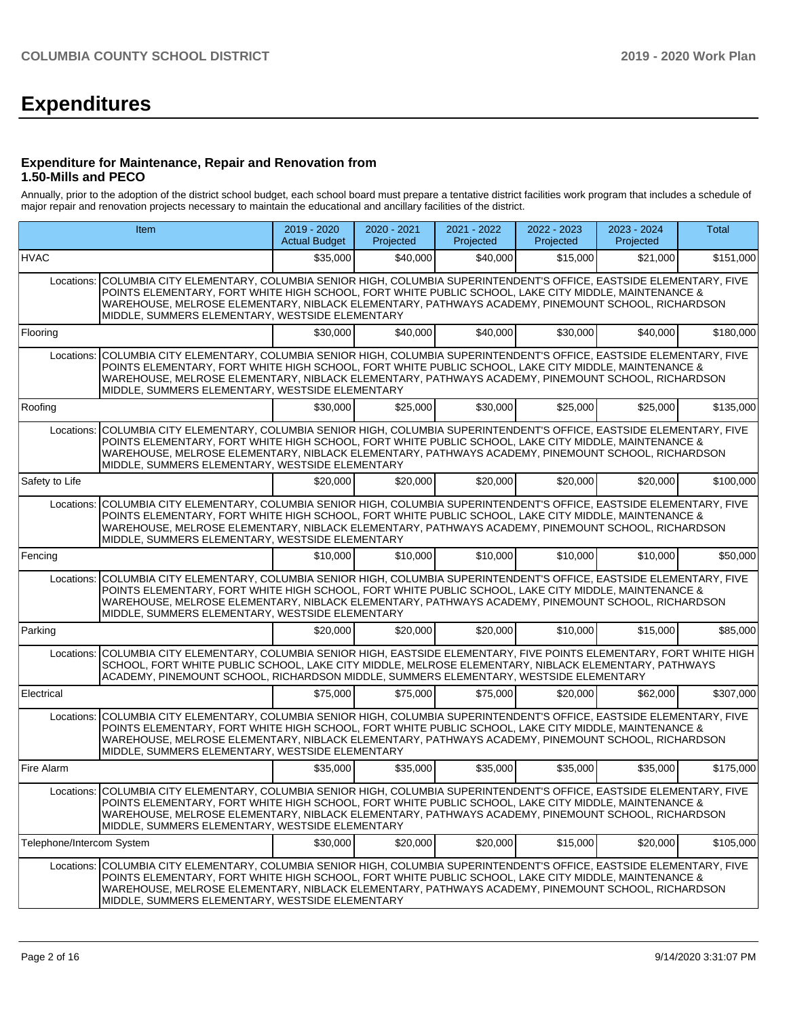# **Expenditures**

## **Expenditure for Maintenance, Repair and Renovation from 1.50-Mills and PECO**

Annually, prior to the adoption of the district school budget, each school board must prepare a tentative district facilities work program that includes a schedule of major repair and renovation projects necessary to maintain the educational and ancillary facilities of the district.

| <b>Item</b>                                                                                                                                                                                                                                                                                                                                                                            |                                                                                                                                                                                                                                                                                                                                                                                        | 2019 - 2020<br><b>Actual Budget</b> | 2020 - 2021<br>Projected | 2021 - 2022<br>Projected | 2022 - 2023<br>Projected | 2023 - 2024<br>Projected | Total     |  |  |  |  |
|----------------------------------------------------------------------------------------------------------------------------------------------------------------------------------------------------------------------------------------------------------------------------------------------------------------------------------------------------------------------------------------|----------------------------------------------------------------------------------------------------------------------------------------------------------------------------------------------------------------------------------------------------------------------------------------------------------------------------------------------------------------------------------------|-------------------------------------|--------------------------|--------------------------|--------------------------|--------------------------|-----------|--|--|--|--|
| HVAC                                                                                                                                                                                                                                                                                                                                                                                   |                                                                                                                                                                                                                                                                                                                                                                                        | \$35,000                            | \$40,000                 | \$40,000                 | \$15,000                 | \$21,000                 | \$151,000 |  |  |  |  |
| Locations: COLUMBIA CITY ELEMENTARY, COLUMBIA SENIOR HIGH, COLUMBIA SUPERINTENDENT'S OFFICE, EASTSIDE ELEMENTARY, FIVE<br>POINTS ELEMENTARY, FORT WHITE HIGH SCHOOL, FORT WHITE PUBLIC SCHOOL, LAKE CITY MIDDLE, MAINTENANCE &<br>WAREHOUSE, MELROSE ELEMENTARY, NIBLACK ELEMENTARY, PATHWAYS ACADEMY, PINEMOUNT SCHOOL, RICHARDSON<br>MIDDLE, SUMMERS ELEMENTARY, WESTSIDE ELEMENTARY |                                                                                                                                                                                                                                                                                                                                                                                        |                                     |                          |                          |                          |                          |           |  |  |  |  |
| Flooring                                                                                                                                                                                                                                                                                                                                                                               |                                                                                                                                                                                                                                                                                                                                                                                        | \$30,000                            | \$40,000                 | \$40,000                 | \$30,000                 | \$40,000                 | \$180,000 |  |  |  |  |
| Locations:                                                                                                                                                                                                                                                                                                                                                                             | COLUMBIA CITY ELEMENTARY, COLUMBIA SENIOR HIGH, COLUMBIA SUPERINTENDENT'S OFFICE, EASTSIDE ELEMENTARY, FIVE<br>POINTS ELEMENTARY, FORT WHITE HIGH SCHOOL, FORT WHITE PUBLIC SCHOOL, LAKE CITY MIDDLE, MAINTENANCE &<br>WAREHOUSE, MELROSE ELEMENTARY, NIBLACK ELEMENTARY, PATHWAYS ACADEMY, PINEMOUNT SCHOOL, RICHARDSON<br>MIDDLE, SUMMERS ELEMENTARY, WESTSIDE ELEMENTARY            |                                     |                          |                          |                          |                          |           |  |  |  |  |
| Roofing                                                                                                                                                                                                                                                                                                                                                                                |                                                                                                                                                                                                                                                                                                                                                                                        | \$30,000                            | \$25,000                 | \$30,000                 | \$25,000                 | \$25,000                 | \$135,000 |  |  |  |  |
| Locations:                                                                                                                                                                                                                                                                                                                                                                             | COLUMBIA CITY ELEMENTARY, COLUMBIA SENIOR HIGH, COLUMBIA SUPERINTENDENT'S OFFICE, EASTSIDE ELEMENTARY, FIVE<br>POINTS ELEMENTARY, FORT WHITE HIGH SCHOOL, FORT WHITE PUBLIC SCHOOL, LAKE CITY MIDDLE, MAINTENANCE &<br>WAREHOUSE, MELROSE ELEMENTARY, NIBLACK ELEMENTARY, PATHWAYS ACADEMY, PINEMOUNT SCHOOL, RICHARDSON<br>MIDDLE, SUMMERS ELEMENTARY, WESTSIDE ELEMENTARY            |                                     |                          |                          |                          |                          |           |  |  |  |  |
| Safety to Life                                                                                                                                                                                                                                                                                                                                                                         |                                                                                                                                                                                                                                                                                                                                                                                        | \$20,000                            | \$20,000                 | \$20,000                 | \$20,000                 | \$20,000                 | \$100,000 |  |  |  |  |
| Locations:                                                                                                                                                                                                                                                                                                                                                                             | COLUMBIA CITY ELEMENTARY, COLUMBIA SENIOR HIGH, COLUMBIA SUPERINTENDENT'S OFFICE, EASTSIDE ELEMENTARY, FIVE<br>POINTS ELEMENTARY, FORT WHITE HIGH SCHOOL, FORT WHITE PUBLIC SCHOOL, LAKE CITY MIDDLE, MAINTENANCE &<br>WAREHOUSE, MELROSE ELEMENTARY, NIBLACK ELEMENTARY, PATHWAYS ACADEMY, PINEMOUNT SCHOOL, RICHARDSON<br>MIDDLE, SUMMERS ELEMENTARY, WESTSIDE ELEMENTARY            |                                     |                          |                          |                          |                          |           |  |  |  |  |
| Fencing                                                                                                                                                                                                                                                                                                                                                                                |                                                                                                                                                                                                                                                                                                                                                                                        | \$10,000                            | \$10,000                 | \$10,000                 | \$10,000                 | \$10,000                 | \$50,000  |  |  |  |  |
| Locations:                                                                                                                                                                                                                                                                                                                                                                             | COLUMBIA CITY ELEMENTARY, COLUMBIA SENIOR HIGH, COLUMBIA SUPERINTENDENT'S OFFICE, EASTSIDE ELEMENTARY, FIVE<br>POINTS ELEMENTARY, FORT WHITE HIGH SCHOOL, FORT WHITE PUBLIC SCHOOL, LAKE CITY MIDDLE, MAINTENANCE &<br>WAREHOUSE, MELROSE ELEMENTARY, NIBLACK ELEMENTARY, PATHWAYS ACADEMY, PINEMOUNT SCHOOL, RICHARDSON<br>MIDDLE, SUMMERS ELEMENTARY, WESTSIDE ELEMENTARY            |                                     |                          |                          |                          |                          |           |  |  |  |  |
| Parking                                                                                                                                                                                                                                                                                                                                                                                |                                                                                                                                                                                                                                                                                                                                                                                        | \$20,000                            | \$20,000                 | \$20,000                 | \$10,000                 | \$15,000                 | \$85,000  |  |  |  |  |
| Locations:                                                                                                                                                                                                                                                                                                                                                                             | COLUMBIA CITY ELEMENTARY, COLUMBIA SENIOR HIGH, EASTSIDE ELEMENTARY, FIVE POINTS ELEMENTARY, FORT WHITE HIGH<br>SCHOOL, FORT WHITE PUBLIC SCHOOL, LAKE CITY MIDDLE, MELROSE ELEMENTARY, NIBLACK ELEMENTARY, PATHWAYS<br>ACADEMY, PINEMOUNT SCHOOL, RICHARDSON MIDDLE, SUMMERS ELEMENTARY, WESTSIDE ELEMENTARY                                                                          |                                     |                          |                          |                          |                          |           |  |  |  |  |
| Electrical                                                                                                                                                                                                                                                                                                                                                                             |                                                                                                                                                                                                                                                                                                                                                                                        | \$75,000                            | \$75,000                 | \$75,000                 | \$20,000                 | \$62,000                 | \$307,000 |  |  |  |  |
| Locations:                                                                                                                                                                                                                                                                                                                                                                             | COLUMBIA CITY ELEMENTARY, COLUMBIA SENIOR HIGH, COLUMBIA SUPERINTENDENT'S OFFICE, EASTSIDE ELEMENTARY, FIVE<br>POINTS ELEMENTARY, FORT WHITE HIGH SCHOOL, FORT WHITE PUBLIC SCHOOL, LAKE CITY MIDDLE, MAINTENANCE &<br>WAREHOUSE, MELROSE ELEMENTARY, NIBLACK ELEMENTARY, PATHWAYS ACADEMY, PINEMOUNT SCHOOL, RICHARDSON<br>MIDDLE, SUMMERS ELEMENTARY, WESTSIDE ELEMENTARY            |                                     |                          |                          |                          |                          |           |  |  |  |  |
| Fire Alarm                                                                                                                                                                                                                                                                                                                                                                             |                                                                                                                                                                                                                                                                                                                                                                                        | \$35,000                            | \$35,000                 | \$35,000                 | \$35,000                 | \$35,000                 | \$175,000 |  |  |  |  |
|                                                                                                                                                                                                                                                                                                                                                                                        | Locations: COLUMBIA CITY ELEMENTARY, COLUMBIA SENIOR HIGH, COLUMBIA SUPERINTENDENT'S OFFICE, EASTSIDE ELEMENTARY, FIVE<br>POINTS ELEMENTARY, FORT WHITE HIGH SCHOOL, FORT WHITE PUBLIC SCHOOL, LAKE CITY MIDDLE, MAINTENANCE &<br>WAREHOUSE, MELROSE ELEMENTARY, NIBLACK ELEMENTARY, PATHWAYS ACADEMY, PINEMOUNT SCHOOL, RICHARDSON<br>MIDDLE, SUMMERS ELEMENTARY, WESTSIDE ELEMENTARY |                                     |                          |                          |                          |                          |           |  |  |  |  |
| Telephone/Intercom System                                                                                                                                                                                                                                                                                                                                                              |                                                                                                                                                                                                                                                                                                                                                                                        | \$30,000                            | \$20,000                 | \$20,000                 | \$15,000                 | \$20,000                 | \$105,000 |  |  |  |  |
| Locations:                                                                                                                                                                                                                                                                                                                                                                             | COLUMBIA CITY ELEMENTARY, COLUMBIA SENIOR HIGH, COLUMBIA SUPERINTENDENT'S OFFICE, EASTSIDE ELEMENTARY, FIVE<br>POINTS ELEMENTARY, FORT WHITE HIGH SCHOOL, FORT WHITE PUBLIC SCHOOL, LAKE CITY MIDDLE, MAINTENANCE &<br>WAREHOUSE, MELROSE ELEMENTARY, NIBLACK ELEMENTARY, PATHWAYS ACADEMY, PINEMOUNT SCHOOL, RICHARDSON<br>MIDDLE, SUMMERS ELEMENTARY, WESTSIDE ELEMENTARY            |                                     |                          |                          |                          |                          |           |  |  |  |  |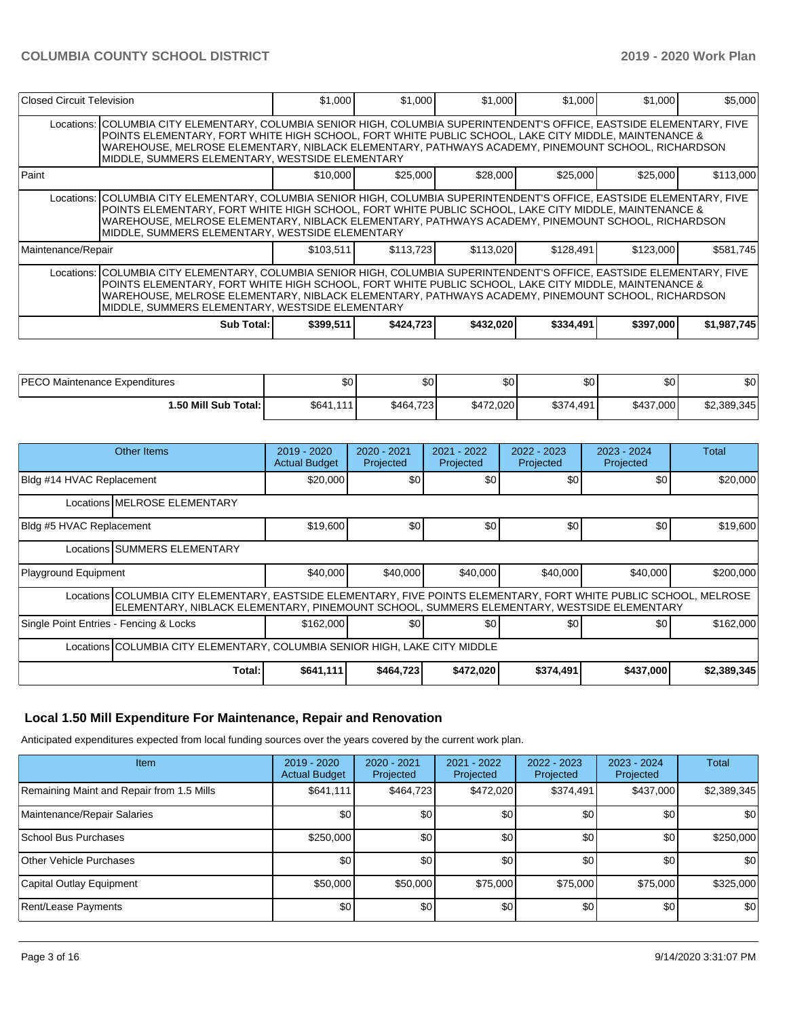| Closed Circuit Television |                                                                                                                                                                                                                                                                                                                                                                                          | \$1,000   | \$1,000   | \$1,000   | \$1,000   | \$1,000   | \$5,000     |  |  |
|---------------------------|------------------------------------------------------------------------------------------------------------------------------------------------------------------------------------------------------------------------------------------------------------------------------------------------------------------------------------------------------------------------------------------|-----------|-----------|-----------|-----------|-----------|-------------|--|--|
|                           | Locations:   COLUMBIA CITY ELEMENTARY, COLUMBIA SENIOR HIGH, COLUMBIA SUPERINTENDENT'S OFFICE, EASTSIDE ELEMENTARY, FIVE<br>POINTS ELEMENTARY, FORT WHITE HIGH SCHOOL, FORT WHITE PUBLIC SCHOOL, LAKE CITY MIDDLE, MAINTENANCE &<br>WAREHOUSE, MELROSE ELEMENTARY, NIBLACK ELEMENTARY, PATHWAYS ACADEMY, PINEMOUNT SCHOOL, RICHARDSON<br>MIDDLE, SUMMERS ELEMENTARY, WESTSIDE ELEMENTARY |           |           |           |           |           |             |  |  |
| Paint                     |                                                                                                                                                                                                                                                                                                                                                                                          | \$10,000  | \$25,000  | \$28,000  | \$25,000  | \$25,000  | \$113,000   |  |  |
|                           | Locations: COLUMBIA CITY ELEMENTARY, COLUMBIA SENIOR HIGH, COLUMBIA SUPERINTENDENT'S OFFICE, EASTSIDE ELEMENTARY, FIVE<br>POINTS ELEMENTARY, FORT WHITE HIGH SCHOOL, FORT WHITE PUBLIC SCHOOL, LAKE CITY MIDDLE, MAINTENANCE &<br>WAREHOUSE, MELROSE ELEMENTARY, NIBLACK ELEMENTARY, PATHWAYS ACADEMY, PINEMOUNT SCHOOL, RICHARDSON<br>MIDDLE, SUMMERS ELEMENTARY, WESTSIDE ELEMENTARY   |           |           |           |           |           |             |  |  |
| Maintenance/Repair        |                                                                                                                                                                                                                                                                                                                                                                                          | \$103.511 | \$113.723 | \$113,020 | \$128,491 | \$123,000 | \$581.745   |  |  |
|                           | Locations: COLUMBIA CITY ELEMENTARY, COLUMBIA SENIOR HIGH, COLUMBIA SUPERINTENDENT'S OFFICE, EASTSIDE ELEMENTARY, FIVE<br>POINTS ELEMENTARY, FORT WHITE HIGH SCHOOL, FORT WHITE PUBLIC SCHOOL, LAKE CITY MIDDLE, MAINTENANCE &<br>WAREHOUSE, MELROSE ELEMENTARY, NIBLACK ELEMENTARY, PATHWAYS ACADEMY, PINEMOUNT SCHOOL, RICHARDSON<br>MIDDLE, SUMMERS ELEMENTARY, WESTSIDE ELEMENTARY   |           |           |           |           |           |             |  |  |
|                           | Sub Total: I                                                                                                                                                                                                                                                                                                                                                                             | \$399,511 | \$424,723 | \$432,020 | \$334,491 | \$397,000 | \$1,987,745 |  |  |

| <b>IPECO Maintenance Expenditures</b> | \$0       | \$0       | \$0       | \$0 <sub>1</sub> | <b>ΛΛ</b><br>νυ | \$0         |
|---------------------------------------|-----------|-----------|-----------|------------------|-----------------|-------------|
| <b>1.50 Mill Sub Total: I</b>         | \$641,111 | \$464,723 | \$472,020 | \$374,491        | \$437,000       | \$2,389,345 |

| Other Items                            |                                                                                                                                                                                                                  | $2019 - 2020$<br><b>Actual Budget</b> | $2020 - 2021$<br>Projected | $2021 - 2022$<br>Projected | 2022 - 2023<br>Projected | 2023 - 2024<br>Projected | <b>Total</b> |  |  |  |
|----------------------------------------|------------------------------------------------------------------------------------------------------------------------------------------------------------------------------------------------------------------|---------------------------------------|----------------------------|----------------------------|--------------------------|--------------------------|--------------|--|--|--|
| Bldg #14 HVAC Replacement              |                                                                                                                                                                                                                  | \$20,000                              | \$0                        | \$0                        | \$0                      | \$0                      | \$20,000     |  |  |  |
|                                        | Locations MELROSE ELEMENTARY                                                                                                                                                                                     |                                       |                            |                            |                          |                          |              |  |  |  |
| Bldg #5 HVAC Replacement               |                                                                                                                                                                                                                  | \$19,600                              | \$0                        | \$0                        | \$0                      | \$0                      | \$19,600     |  |  |  |
| Locations SUMMERS ELEMENTARY           |                                                                                                                                                                                                                  |                                       |                            |                            |                          |                          |              |  |  |  |
| Playground Equipment                   |                                                                                                                                                                                                                  | \$40,000                              | \$40,000                   | \$40,000                   | \$40,000                 | \$40,000                 | \$200,000    |  |  |  |
|                                        | Locations COLUMBIA CITY ELEMENTARY, EASTSIDE ELEMENTARY, FIVE POINTS ELEMENTARY, FORT WHITE PUBLIC SCHOOL, MELROSE<br> ELEMENTARY, NIBLACK ELEMENTARY, PINEMOUNT SCHOOL, SUMMERS ELEMENTARY, WESTSIDE ELEMENTARY |                                       |                            |                            |                          |                          |              |  |  |  |
| Single Point Entries - Fencing & Locks |                                                                                                                                                                                                                  | \$162,000                             | \$0 <sub>1</sub>           | \$0                        | \$0                      | \$0                      | \$162,000    |  |  |  |
|                                        | Locations COLUMBIA CITY ELEMENTARY, COLUMBIA SENIOR HIGH, LAKE CITY MIDDLE                                                                                                                                       |                                       |                            |                            |                          |                          |              |  |  |  |
|                                        | Total:                                                                                                                                                                                                           | \$641,111                             | \$464,723                  | \$472,020                  | \$374,491                | \$437,000                | \$2,389,345  |  |  |  |

# **Local 1.50 Mill Expenditure For Maintenance, Repair and Renovation**

Anticipated expenditures expected from local funding sources over the years covered by the current work plan.

| <b>Item</b>                               | $2019 - 2020$<br><b>Actual Budget</b> | $2020 - 2021$<br>Projected | $2021 - 2022$<br>Projected | 2022 - 2023<br>Projected | $2023 - 2024$<br>Projected | Total       |
|-------------------------------------------|---------------------------------------|----------------------------|----------------------------|--------------------------|----------------------------|-------------|
| Remaining Maint and Repair from 1.5 Mills | \$641,111                             | \$464,723                  | \$472,020                  | \$374,491                | \$437,000                  | \$2,389,345 |
| Maintenance/Repair Salaries               | \$0                                   | \$0                        | \$0                        | \$0                      | \$0                        | \$0         |
| School Bus Purchases                      | \$250,000                             | \$0                        | \$0                        | \$0                      | \$0                        | \$250,000   |
| Other Vehicle Purchases                   | \$0                                   | \$0                        | \$0                        | \$0                      | \$0                        | \$0         |
| Capital Outlay Equipment                  | \$50,000                              | \$50,000                   | \$75,000                   | \$75,000                 | \$75,000                   | \$325,000   |
| Rent/Lease Payments                       | \$0                                   | \$0                        | \$0                        | \$0                      | \$0                        | \$0         |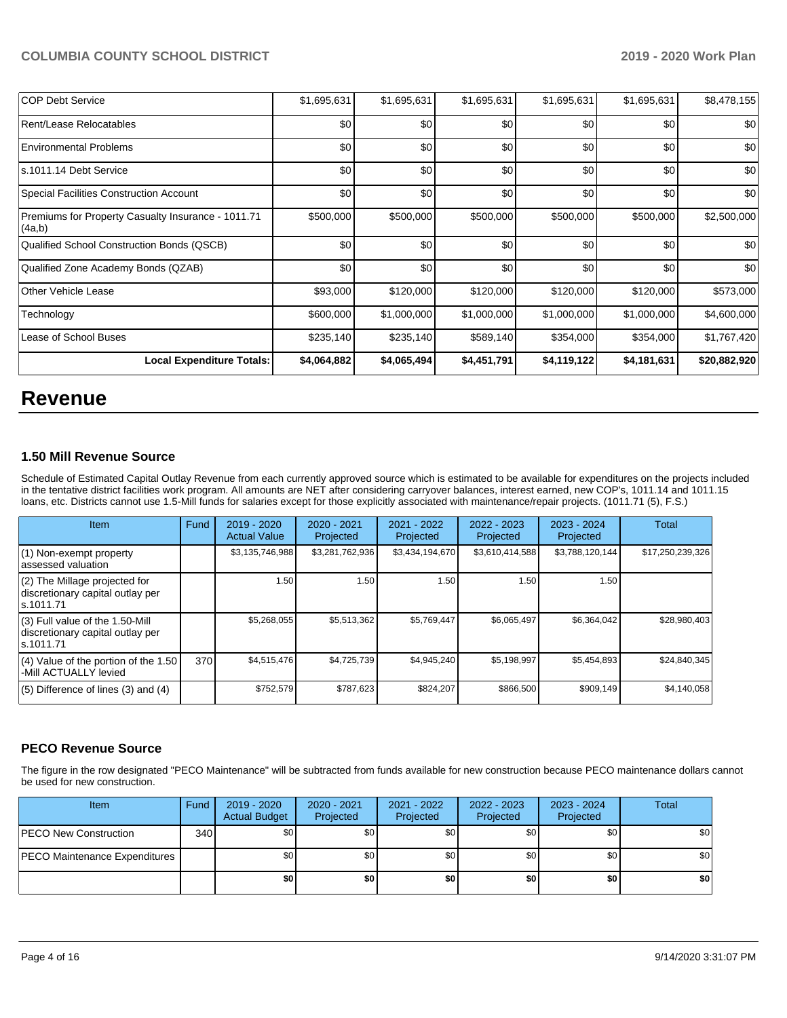| <b>COP Debt Service</b>                                      | \$1,695,631 | \$1,695,631 | \$1,695,631      | \$1,695,631 | \$1,695,631 | \$8,478,155  |
|--------------------------------------------------------------|-------------|-------------|------------------|-------------|-------------|--------------|
| Rent/Lease Relocatables                                      | \$0         | \$0         | \$0              | \$0         | \$0         | \$0          |
| <b>Environmental Problems</b>                                | \$0         | \$0         | \$0 <sub>1</sub> | \$0         | \$0         | \$0          |
| s.1011.14 Debt Service                                       | \$0         | \$0         | \$0              | \$0         | \$0         | \$0          |
| Special Facilities Construction Account                      | \$0         | \$0         | \$0              | \$0         | \$0         | 30           |
| Premiums for Property Casualty Insurance - 1011.71<br>(4a,b) | \$500,000   | \$500,000   | \$500,000        | \$500,000   | \$500,000   | \$2,500,000  |
| Qualified School Construction Bonds (QSCB)                   | \$0         | \$0         | \$0              | \$0         | \$0         | \$0          |
| Qualified Zone Academy Bonds (QZAB)                          | \$0         | \$0         | \$0 <sub>1</sub> | \$0         | \$0         | \$0          |
| <b>Other Vehicle Lease</b>                                   | \$93,000    | \$120,000   | \$120,000        | \$120,000   | \$120,000   | \$573,000    |
| Technology                                                   | \$600,000   | \$1,000,000 | \$1,000,000      | \$1,000,000 | \$1,000,000 | \$4,600,000  |
| Lease of School Buses                                        | \$235,140   | \$235,140   | \$589,140        | \$354,000   | \$354,000   | \$1,767,420  |
| <b>Local Expenditure Totals:</b>                             | \$4,064,882 | \$4,065,494 | \$4,451,791      | \$4,119,122 | \$4,181,631 | \$20,882,920 |

# **Revenue**

# **1.50 Mill Revenue Source**

Schedule of Estimated Capital Outlay Revenue from each currently approved source which is estimated to be available for expenditures on the projects included in the tentative district facilities work program. All amounts are NET after considering carryover balances, interest earned, new COP's, 1011.14 and 1011.15 loans, etc. Districts cannot use 1.5-Mill funds for salaries except for those explicitly associated with maintenance/repair projects. (1011.71 (5), F.S.)

| Item                                                                                | Fund | $2019 - 2020$<br><b>Actual Value</b> | 2020 - 2021<br>Projected | $2021 - 2022$<br>Projected | 2022 - 2023<br>Projected | $2023 - 2024$<br>Projected | Total            |
|-------------------------------------------------------------------------------------|------|--------------------------------------|--------------------------|----------------------------|--------------------------|----------------------------|------------------|
| (1) Non-exempt property<br>lassessed valuation                                      |      | \$3,135,746,988                      | \$3,281,762,936          | \$3,434,194,670            | \$3,610,414,588          | \$3,788,120,144            | \$17,250,239,326 |
| $(2)$ The Millage projected for<br>discretionary capital outlay per<br>ls.1011.71   |      | 1.50                                 | 1.50                     | .50                        | 1.50                     | 1.50                       |                  |
| $(3)$ Full value of the 1.50-Mill<br>discretionary capital outlay per<br>ls.1011.71 |      | \$5,268,055                          | \$5,513,362              | \$5,769,447                | \$6,065,497              | \$6,364,042                | \$28,980,403     |
| $(4)$ Value of the portion of the 1.50<br>-Mill ACTUALLY levied                     | 370  | \$4,515,476                          | \$4,725,739              | \$4,945,240                | \$5,198,997              | \$5,454,893                | \$24,840,345     |
| $(5)$ Difference of lines $(3)$ and $(4)$                                           |      | \$752,579                            | \$787,623                | \$824.207                  | \$866,500                | \$909.149                  | \$4,140,058      |

## **PECO Revenue Source**

The figure in the row designated "PECO Maintenance" will be subtracted from funds available for new construction because PECO maintenance dollars cannot be used for new construction.

| <b>Item</b>                          | Fund         | 2019 - 2020<br><b>Actual Budget</b> | $2020 - 2021$<br>Projected | 2021 - 2022<br>Projected | $2022 - 2023$<br>Projected | 2023 - 2024<br>Projected | Total |
|--------------------------------------|--------------|-------------------------------------|----------------------------|--------------------------|----------------------------|--------------------------|-------|
| <b>PECO New Construction</b>         | 340 <b>I</b> | \$0 <sub>1</sub>                    | \$0 <sub>1</sub>           | \$0                      | \$0 <sub>1</sub>           | \$0                      | \$0   |
| <b>PECO Maintenance Expenditures</b> |              | \$0                                 | \$0                        | \$0                      | \$0                        | \$0                      | \$0   |
|                                      |              | \$0                                 | \$0                        | \$0                      | \$0                        | \$0                      | \$0   |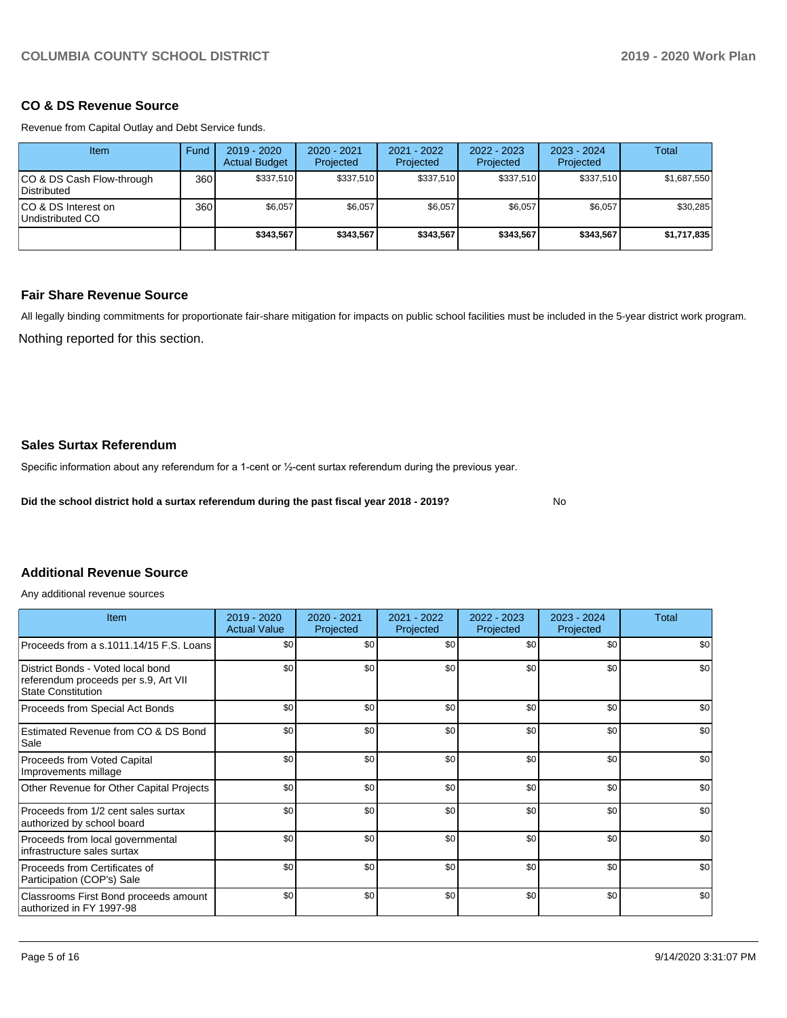## **CO & DS Revenue Source**

Revenue from Capital Outlay and Debt Service funds.

| Item                                            | Fund | $2019 - 2020$<br><b>Actual Budget</b> | $2020 - 2021$<br>Projected | 2021 - 2022<br>Projected | 2022 - 2023<br>Projected | $2023 - 2024$<br>Projected | Total       |
|-------------------------------------------------|------|---------------------------------------|----------------------------|--------------------------|--------------------------|----------------------------|-------------|
| CO & DS Cash Flow-through<br><b>Distributed</b> | 360  | \$337.510                             | \$337,510                  | \$337,510                | \$337.510                | \$337.510                  | \$1,687,550 |
| CO & DS Interest on<br>Undistributed CO         | 360  | \$6,057                               | \$6,057                    | \$6,057                  | \$6,057                  | \$6,057                    | \$30,285    |
|                                                 |      | \$343,567                             | \$343.567                  | \$343.567                | \$343.567                | \$343.567                  | \$1,717,835 |

## **Fair Share Revenue Source**

All legally binding commitments for proportionate fair-share mitigation for impacts on public school facilities must be included in the 5-year district work program.

Nothing reported for this section.

# **Sales Surtax Referendum**

Specific information about any referendum for a 1-cent or ½-cent surtax referendum during the previous year.

**Did the school district hold a surtax referendum during the past fiscal year 2018 - 2019?**

No

# **Additional Revenue Source**

Any additional revenue sources

| Item                                                                                                   | 2019 - 2020<br><b>Actual Value</b> | 2020 - 2021<br>Projected | 2021 - 2022<br>Projected | $2022 - 2023$<br>Projected | $2023 - 2024$<br>Projected | Total |
|--------------------------------------------------------------------------------------------------------|------------------------------------|--------------------------|--------------------------|----------------------------|----------------------------|-------|
| Proceeds from a s.1011.14/15 F.S. Loans                                                                | \$0                                | \$0                      | \$0                      | \$0                        | \$0                        | \$0   |
| District Bonds - Voted local bond<br>referendum proceeds per s.9, Art VII<br><b>State Constitution</b> | \$0                                | \$0 <sub>1</sub>         | \$0                      | \$0                        | \$0                        | \$0   |
| Proceeds from Special Act Bonds                                                                        | \$0                                | \$0                      | \$0                      | \$0                        | \$0                        | \$0   |
| Estimated Revenue from CO & DS Bond<br>Sale                                                            | \$0                                | \$0                      | \$0                      | \$0                        | \$0                        | \$0   |
| <b>Proceeds from Voted Capital</b><br>Improvements millage                                             | \$0                                | \$0                      | \$0                      | \$0                        | \$0                        | \$0   |
| Other Revenue for Other Capital Projects                                                               | \$0                                | \$0                      | \$0                      | \$0                        | \$0                        | \$0   |
| Proceeds from 1/2 cent sales surtax<br>authorized by school board                                      | \$0                                | \$0                      | \$0                      | \$0                        | \$0                        | \$0   |
| Proceeds from local governmental<br>infrastructure sales surtax                                        | \$0                                | \$0                      | \$0                      | \$0                        | \$0                        | \$0   |
| Proceeds from Certificates of<br>Participation (COP's) Sale                                            | \$0                                | \$0                      | \$0                      | \$0                        | \$0                        | \$0   |
| Classrooms First Bond proceeds amount<br>authorized in FY 1997-98                                      | \$0                                | \$0                      | \$0                      | \$0                        | \$0                        | \$0   |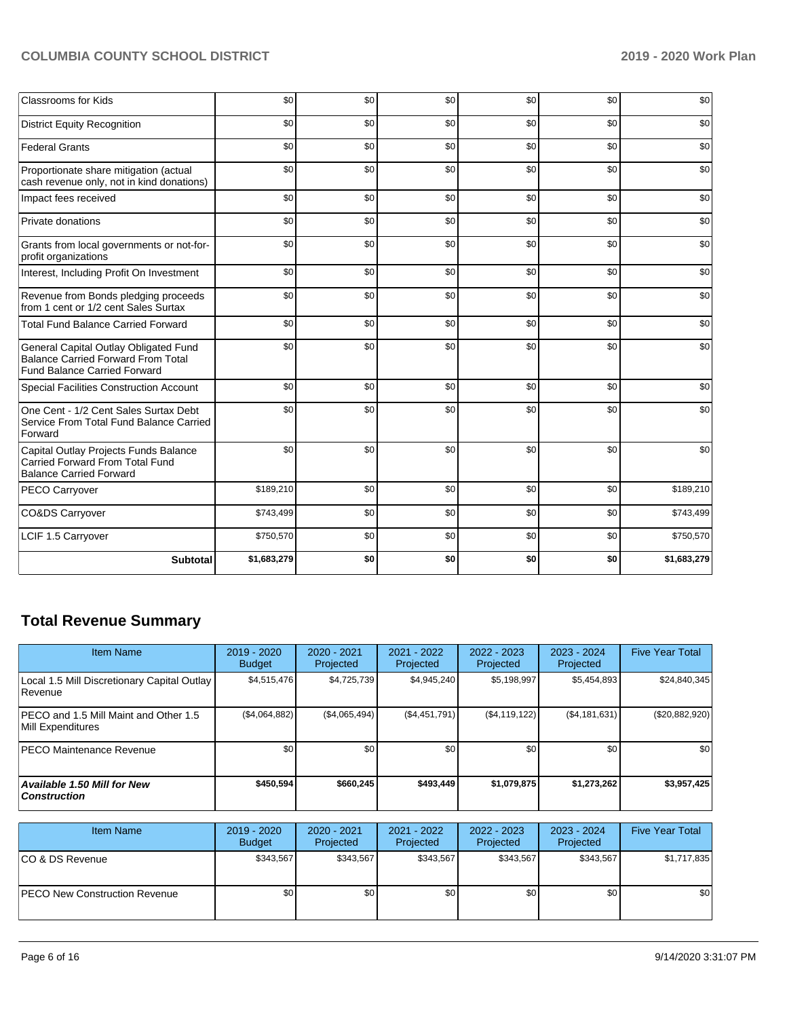| <b>Classrooms for Kids</b>                                                                                                | \$0         | \$0 | \$0 | \$0 | \$0 | \$0         |
|---------------------------------------------------------------------------------------------------------------------------|-------------|-----|-----|-----|-----|-------------|
| <b>District Equity Recognition</b>                                                                                        | \$0         | \$0 | \$0 | \$0 | \$0 | \$0         |
| <b>Federal Grants</b>                                                                                                     | \$0         | \$0 | \$0 | \$0 | \$0 | \$0         |
| Proportionate share mitigation (actual<br>cash revenue only, not in kind donations)                                       | \$0         | \$0 | \$0 | \$0 | \$0 | \$0         |
| Impact fees received                                                                                                      | \$0         | \$0 | \$0 | \$0 | \$0 | \$0         |
| Private donations                                                                                                         | \$0         | \$0 | \$0 | \$0 | \$0 | \$0         |
| Grants from local governments or not-for-<br>profit organizations                                                         | \$0         | \$0 | \$0 | \$0 | \$0 | \$0         |
| Interest, Including Profit On Investment                                                                                  | \$0         | \$0 | \$0 | \$0 | \$0 | \$0         |
| Revenue from Bonds pledging proceeds<br>from 1 cent or 1/2 cent Sales Surtax                                              | \$0         | \$0 | \$0 | \$0 | \$0 | \$0         |
| <b>Total Fund Balance Carried Forward</b>                                                                                 | \$0         | \$0 | \$0 | \$0 | \$0 | \$0         |
| General Capital Outlay Obligated Fund<br><b>Balance Carried Forward From Total</b><br><b>Fund Balance Carried Forward</b> | \$0         | \$0 | \$0 | \$0 | \$0 | \$0         |
| <b>Special Facilities Construction Account</b>                                                                            | \$0         | \$0 | \$0 | \$0 | \$0 | \$0         |
| One Cent - 1/2 Cent Sales Surtax Debt<br>Service From Total Fund Balance Carried<br>Forward                               | \$0         | \$0 | \$0 | \$0 | \$0 | \$0         |
| Capital Outlay Projects Funds Balance<br><b>Carried Forward From Total Fund</b><br><b>Balance Carried Forward</b>         | \$0         | \$0 | \$0 | \$0 | \$0 | \$0         |
| PECO Carryover                                                                                                            | \$189,210   | \$0 | \$0 | \$0 | \$0 | \$189,210   |
| CO&DS Carryover                                                                                                           | \$743,499   | \$0 | \$0 | \$0 | \$0 | \$743,499   |
| LCIF 1.5 Carryover                                                                                                        | \$750,570   | \$0 | \$0 | \$0 | \$0 | \$750,570   |
| <b>Subtotal</b>                                                                                                           | \$1,683,279 | \$0 | \$0 | \$0 | \$0 | \$1,683,279 |

# **Total Revenue Summary**

| Item Name                                                  | $2019 - 2020$<br><b>Budget</b> | 2020 - 2021<br>Projected | 2021 - 2022<br>Projected | $2022 - 2023$<br>Projected | 2023 - 2024<br>Projected | <b>Five Year Total</b> |
|------------------------------------------------------------|--------------------------------|--------------------------|--------------------------|----------------------------|--------------------------|------------------------|
| Local 1.5 Mill Discretionary Capital Outlay<br>Revenue     | \$4,515,476                    | \$4,725,739              | \$4,945,240              | \$5,198,997                | \$5,454,893              | \$24,840,345           |
| PECO and 1.5 Mill Maint and Other 1.5<br>Mill Expenditures | (\$4,064,882)                  | (\$4,065,494)            | (\$4,451,791)            | (\$4,119,122)              | (\$4,181,631)            | (\$20,882,920)         |
| IPECO Maintenance Revenue                                  | \$0                            | \$0                      | \$0                      | \$0                        | \$0                      | \$0                    |
| Available 1.50 Mill for New<br><b>Construction</b>         | \$450,594                      | \$660,245                | \$493.449                | \$1,079,875                | \$1,273,262              | \$3,957,425            |
| <b>Item Name</b>                                           | 2019 - 2020<br><b>Budget</b>   | 2020 - 2021<br>Projected | 2021 - 2022<br>Projected | $2022 - 2023$<br>Projected | 2023 - 2024<br>Projected | <b>Five Year Total</b> |
| ICO & DS Revenue                                           | \$343,567                      | \$343,567                | \$343,567                | \$343,567                  | \$343,567                | \$1,717,835            |

PECO New Construction Revenue  $\begin{vmatrix} 1 & 0 & 0 \\ 0 & 0 & 0 \\ 0 & 0 & 0 \end{vmatrix}$  \$0 \$0 \$0 \$0 \$0 \$0 \$0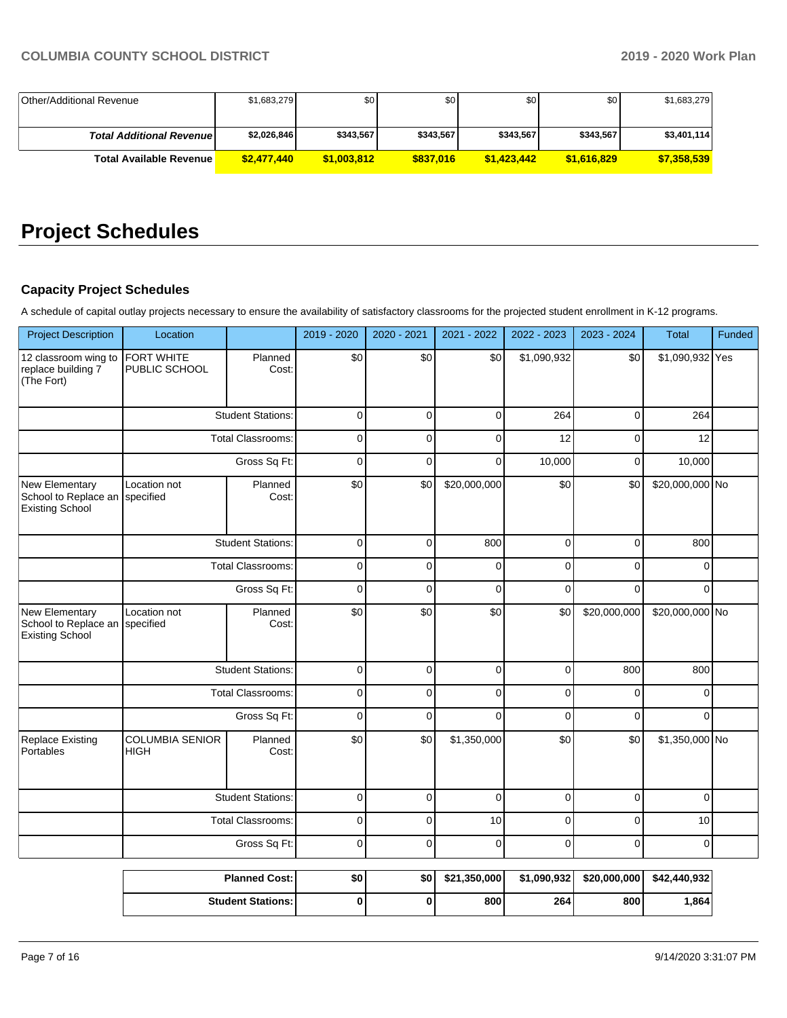| Other/Additional Revenue         | \$1,683,279 | \$0 <sub>1</sub> | \$0       | \$0         | \$0 <sub>1</sub> | \$1,683,279 |
|----------------------------------|-------------|------------------|-----------|-------------|------------------|-------------|
|                                  |             |                  |           |             |                  |             |
| <b>Total Additional Revenuel</b> | \$2,026,846 | \$343.567        | \$343,567 | \$343,567   | \$343.567        | \$3,401,114 |
| <b>Total Available Revenue</b>   | \$2,477,440 | \$1.003.812      | \$837,016 | \$1,423,442 | \$1,616,829      | \$7,358,539 |

# **Project Schedules**

# **Capacity Project Schedules**

A schedule of capital outlay projects necessary to ensure the availability of satisfactory classrooms for the projected student enrollment in K-12 programs.

| <b>Project Description</b>                                | Location                              |                          | 2019 - 2020 | 2020 - 2021  | 2021 - 2022  | 2022 - 2023 | 2023 - 2024  | <b>Total</b>    | Funded |
|-----------------------------------------------------------|---------------------------------------|--------------------------|-------------|--------------|--------------|-------------|--------------|-----------------|--------|
| 12 classroom wing to<br>replace building 7<br>(The Fort)  | FORT WHITE<br>PUBLIC SCHOOL           | Planned<br>Cost:         | \$0         | \$0          | \$0          | \$1,090,932 | \$0          | \$1,090,932 Yes |        |
|                                                           |                                       | <b>Student Stations:</b> | $\mathbf 0$ | $\Omega$     | $\Omega$     | 264         | $\mathbf 0$  | 264             |        |
|                                                           |                                       | <b>Total Classrooms:</b> | $\mathbf 0$ | $\mathbf{0}$ | $\Omega$     | 12          | $\mathbf{0}$ | 12              |        |
|                                                           |                                       | Gross Sq Ft:             | $\mathbf 0$ | $\mathbf 0$  | $\Omega$     | 10,000      | $\mathbf 0$  | 10,000          |        |
| New Elementary<br>School to Replace an<br>Existing School | Location not<br>specified             | Planned<br>Cost:         | \$0         | \$0          | \$20,000,000 | \$0         | \$0          | \$20,000,000 No |        |
|                                                           |                                       | <b>Student Stations:</b> | $\mathbf 0$ | $\Omega$     | 800          | $\Omega$    | $\mathbf 0$  | 800             |        |
|                                                           | <b>Total Classrooms:</b>              |                          | 0           | $\mathbf 0$  | $\mathbf 0$  | $\Omega$    | $\Omega$     | $\Omega$        |        |
|                                                           | Gross Sq Ft:                          |                          | $\mathbf 0$ | $\Omega$     | $\Omega$     | $\Omega$    | $\Omega$     | $\Omega$        |        |
| New Elementary<br>School to Replace an<br>Existing School | Location not<br>specified             | Planned<br>Cost:         | \$0         | \$0          | \$0          | \$0         | \$20,000,000 | \$20,000,000 No |        |
|                                                           |                                       | <b>Student Stations:</b> | $\pmb{0}$   | $\mathbf 0$  | $\mathbf 0$  | $\mathsf 0$ | 800          | 800             |        |
|                                                           |                                       | <b>Total Classrooms:</b> | 0           | $\Omega$     | $\Omega$     | $\Omega$    | $\Omega$     | $\Omega$        |        |
|                                                           |                                       | Gross Sq Ft:             | $\mathbf 0$ | $\Omega$     | $\Omega$     | $\Omega$    | $\Omega$     | $\Omega$        |        |
| <b>Replace Existing</b><br>Portables                      | <b>COLUMBIA SENIOR</b><br><b>HIGH</b> | Planned<br>Cost:         | \$0         | \$0          | \$1,350,000  | \$0         | \$0          | \$1,350,000 No  |        |
|                                                           |                                       | <b>Student Stations:</b> | $\pmb{0}$   | $\mathbf 0$  | $\mathbf 0$  | $\mathbf 0$ | $\mathbf 0$  | $\mathbf 0$     |        |
|                                                           |                                       | <b>Total Classrooms:</b> | 0           | $\Omega$     | 10           | $\Omega$    | $\Omega$     | 10              |        |
|                                                           |                                       | Gross Sq Ft:             | $\mathbf 0$ | $\mathbf 0$  | $\mathbf 0$  | $\mathbf 0$ | $\mathbf 0$  | 0               |        |
|                                                           |                                       | <b>Planned Cost:</b>     | \$0         | \$0          | \$21,350,000 | \$1,090,932 | \$20,000,000 | \$42,440,932    |        |
|                                                           |                                       | <b>Student Stations:</b> | $\mathbf 0$ | $\bf{0}$     | 800          | 264         | 800          | 1,864           |        |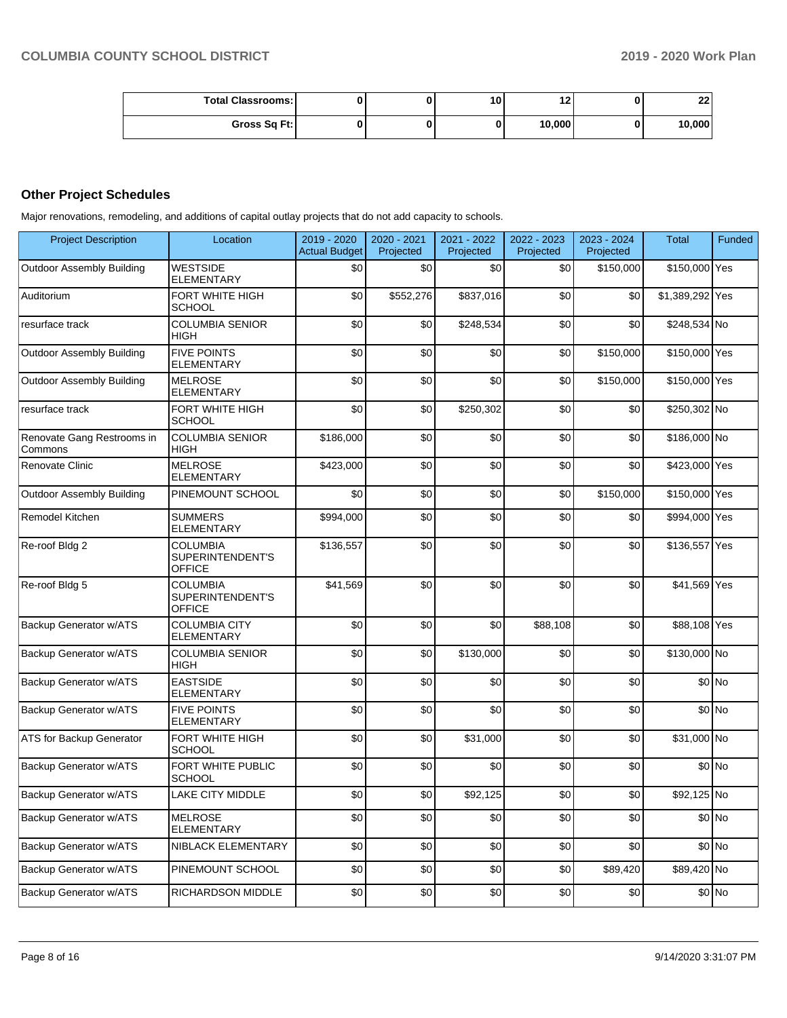| <b>Total Classrooms: I</b> |  | 10 | . .    | クク<br>LL |
|----------------------------|--|----|--------|----------|
| Gross Sq Ft:               |  |    | 10,000 | 10,000   |

# **Other Project Schedules**

Major renovations, remodeling, and additions of capital outlay projects that do not add capacity to schools.

| <b>Project Description</b>            | Location                                      | 2019 - 2020<br><b>Actual Budget</b> | 2020 - 2021<br>Projected | 2021 - 2022<br>Projected | 2022 - 2023<br>Projected | 2023 - 2024<br>Projected | <b>Total</b>    | Funded  |
|---------------------------------------|-----------------------------------------------|-------------------------------------|--------------------------|--------------------------|--------------------------|--------------------------|-----------------|---------|
| <b>Outdoor Assembly Building</b>      | <b>WESTSIDE</b><br><b>ELEMENTARY</b>          | \$0                                 | \$0                      | \$0                      | \$0                      | \$150,000                | \$150,000 Yes   |         |
| Auditorium                            | FORT WHITE HIGH<br><b>SCHOOL</b>              | \$0                                 | \$552,276                | \$837,016                | \$0                      | \$0                      | \$1,389,292 Yes |         |
| resurface track                       | <b>COLUMBIA SENIOR</b><br>HIGH                | \$0                                 | \$0                      | \$248,534                | \$0                      | \$0                      | \$248,534 No    |         |
| <b>Outdoor Assembly Building</b>      | <b>FIVE POINTS</b><br>ELEMENTARY              | \$0                                 | \$0                      | \$0                      | \$0                      | \$150,000                | \$150,000 Yes   |         |
| <b>Outdoor Assembly Building</b>      | <b>MELROSE</b><br><b>ELEMENTARY</b>           | \$0                                 | \$0                      | \$0                      | \$0                      | \$150,000                | \$150,000 Yes   |         |
| resurface track                       | <b>FORT WHITE HIGH</b><br><b>SCHOOL</b>       | \$0                                 | \$0                      | \$250,302                | \$0                      | \$0                      | \$250,302 No    |         |
| Renovate Gang Restrooms in<br>Commons | <b>COLUMBIA SENIOR</b><br><b>HIGH</b>         | \$186,000                           | \$0                      | \$0                      | \$0                      | \$0                      | \$186,000 No    |         |
| <b>Renovate Clinic</b>                | <b>MELROSE</b><br><b>ELEMENTARY</b>           | \$423,000                           | \$0                      | \$0                      | \$0                      | \$0                      | \$423,000 Yes   |         |
| <b>Outdoor Assembly Building</b>      | PINEMOUNT SCHOOL                              | \$0                                 | \$0                      | \$0                      | \$0                      | \$150,000                | \$150,000 Yes   |         |
| Remodel Kitchen                       | <b>SUMMERS</b><br>ELEMENTARY                  | \$994,000                           | \$0                      | \$0                      | \$0                      | \$0                      | \$994,000 Yes   |         |
| Re-roof Bldg 2                        | COLUMBIA<br>SUPERINTENDENT'S<br><b>OFFICE</b> | \$136,557                           | \$0                      | \$0                      | \$0                      | \$0                      | \$136,557 Yes   |         |
| Re-roof Bldg 5                        | COLUMBIA<br>SUPERINTENDENT'S<br><b>OFFICE</b> | \$41,569                            | \$0                      | \$0                      | \$0                      | \$0                      | \$41,569 Yes    |         |
| <b>Backup Generator w/ATS</b>         | COLUMBIA CITY<br>ELEMENTARY                   | \$0                                 | \$0                      | \$0                      | \$88,108                 | \$0                      | \$88,108 Yes    |         |
| Backup Generator w/ATS                | <b>COLUMBIA SENIOR</b><br><b>HIGH</b>         | \$0                                 | \$0                      | \$130,000                | \$0                      | \$0                      | \$130,000 No    |         |
| Backup Generator w/ATS                | <b>EASTSIDE</b><br>ELEMENTARY                 | \$0                                 | \$0                      | \$0                      | \$0                      | \$0                      |                 | \$0 No  |
| Backup Generator w/ATS                | <b>FIVE POINTS</b><br>ELEMENTARY              | \$0                                 | \$0                      | \$0                      | \$0                      | \$0                      |                 | \$0 No  |
| ATS for Backup Generator              | FORT WHITE HIGH<br><b>SCHOOL</b>              | \$0                                 | \$0                      | \$31,000                 | \$0                      | \$0                      | \$31,000 No     |         |
| <b>Backup Generator w/ATS</b>         | FORT WHITE PUBLIC<br><b>SCHOOL</b>            | \$0                                 | \$0                      | \$0                      | \$0                      | \$0                      |                 | \$0 No  |
| <b>Backup Generator w/ATS</b>         | <b>LAKE CITY MIDDLE</b>                       | \$0                                 | \$0                      | \$92,125                 | \$0                      | \$0                      | \$92,125 No     |         |
| Backup Generator w/ATS                | <b>MELROSE</b><br><b>ELEMENTARY</b>           | \$0                                 | \$0                      | \$0                      | \$0                      | \$0                      |                 | \$0 No  |
| Backup Generator w/ATS                | NIBLACK ELEMENTARY                            | \$0                                 | \$0                      | \$0                      | \$0                      | \$0                      |                 | \$0 No  |
| Backup Generator w/ATS                | PINEMOUNT SCHOOL                              | \$0                                 | \$0                      | \$0                      | \$0                      | \$89,420                 | \$89,420 No     |         |
| Backup Generator w/ATS                | RICHARDSON MIDDLE                             | \$0                                 | \$0                      | \$0                      | \$0                      | \$0                      |                 | $$0$ No |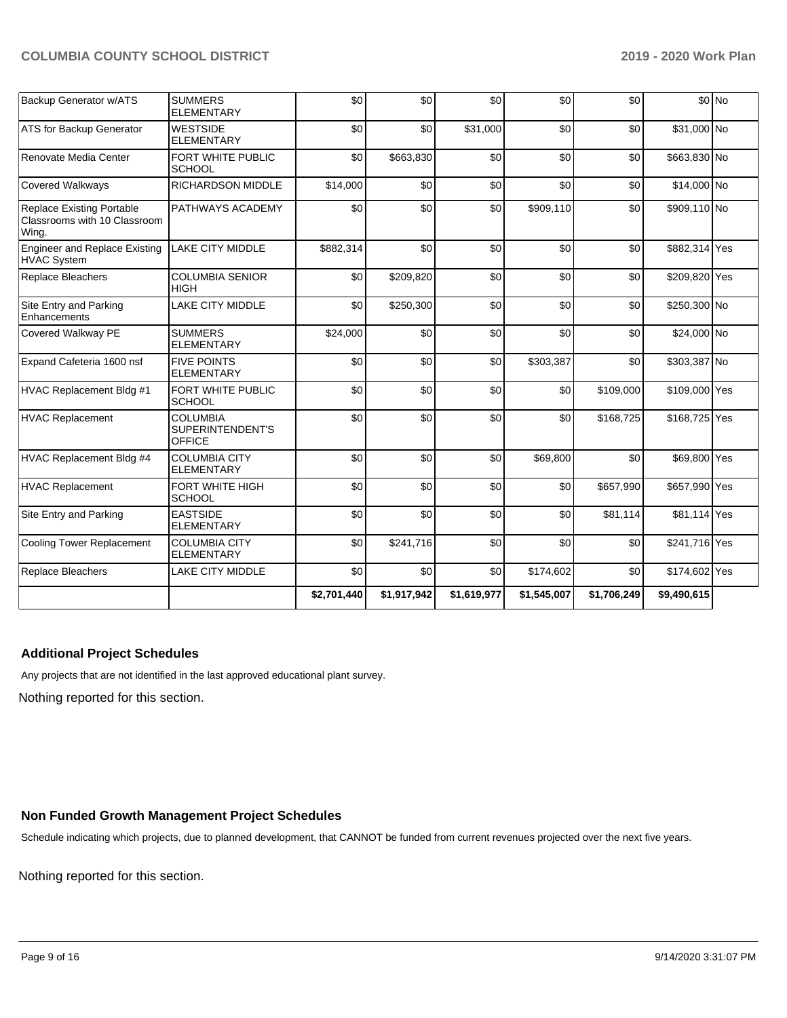| Backup Generator w/ATS                                                    | <b>SUMMERS</b><br><b>ELEMENTARY</b>                  | \$0         | \$0         | \$0         | \$0         | \$0         |               | $$0$ No |
|---------------------------------------------------------------------------|------------------------------------------------------|-------------|-------------|-------------|-------------|-------------|---------------|---------|
| ATS for Backup Generator                                                  | <b>WESTSIDE</b><br><b>ELEMENTARY</b>                 | \$0         | \$0         | \$31,000    | \$0         | \$0         | \$31,000 No   |         |
| Renovate Media Center                                                     | FORT WHITE PUBLIC<br><b>SCHOOL</b>                   | \$0         | \$663,830   | \$0         | \$0         | \$0         | \$663,830 No  |         |
| <b>Covered Walkways</b>                                                   | <b>RICHARDSON MIDDLE</b>                             | \$14,000    | \$0         | \$0         | \$0         | \$0         | \$14,000 No   |         |
| <b>Replace Existing Portable</b><br>Classrooms with 10 Classroom<br>Wing. | PATHWAYS ACADEMY                                     | \$0         | \$0         | \$0         | \$909,110   | \$0         | \$909,110 No  |         |
| <b>Engineer and Replace Existing</b><br><b>HVAC System</b>                | <b>LAKE CITY MIDDLE</b>                              | \$882,314   | \$0         | \$0         | \$0         | \$0         | \$882,314 Yes |         |
| Replace Bleachers                                                         | <b>COLUMBIA SENIOR</b><br><b>HIGH</b>                | \$0         | \$209,820   | \$0         | \$0         | \$0         | \$209,820 Yes |         |
| Site Entry and Parking<br>Enhancements                                    | LAKE CITY MIDDLE                                     | \$0         | \$250,300   | \$0         | \$0         | \$0         | \$250,300 No  |         |
| Covered Walkway PE                                                        | <b>SUMMERS</b><br><b>ELEMENTARY</b>                  | \$24,000    | \$0         | \$0         | \$0         | \$0         | \$24,000 No   |         |
| Expand Cafeteria 1600 nsf                                                 | <b>FIVE POINTS</b><br><b>ELEMENTARY</b>              | \$0         | \$0         | \$0         | \$303,387   | \$0         | \$303,387 No  |         |
| HVAC Replacement Bldg #1                                                  | FORT WHITE PUBLIC<br><b>SCHOOL</b>                   | \$0         | \$0         | \$0         | \$0         | \$109,000   | \$109,000 Yes |         |
| <b>HVAC Replacement</b>                                                   | <b>COLUMBIA</b><br>SUPERINTENDENT'S<br><b>OFFICE</b> | \$0         | \$0         | \$0         | \$0         | \$168,725   | \$168,725 Yes |         |
| HVAC Replacement Bldg #4                                                  | <b>COLUMBIA CITY</b><br><b>ELEMENTARY</b>            | \$0         | \$0         | \$0         | \$69,800    | \$0         | \$69,800 Yes  |         |
| <b>HVAC Replacement</b>                                                   | FORT WHITE HIGH<br><b>SCHOOL</b>                     | \$0         | \$0         | \$0         | \$0         | \$657,990   | \$657,990 Yes |         |
| Site Entry and Parking                                                    | <b>EASTSIDE</b><br><b>ELEMENTARY</b>                 | \$0         | \$0         | \$0         | \$0         | \$81,114    | \$81,114 Yes  |         |
| <b>Cooling Tower Replacement</b>                                          | <b>COLUMBIA CITY</b><br><b>ELEMENTARY</b>            | \$0         | \$241,716   | \$0         | \$0         | \$0         | \$241,716 Yes |         |
| Replace Bleachers                                                         | LAKE CITY MIDDLE                                     | \$0         | \$0         | \$0         | \$174,602   | \$0         | \$174,602 Yes |         |
|                                                                           |                                                      | \$2,701,440 | \$1,917,942 | \$1,619,977 | \$1,545,007 | \$1,706,249 | \$9,490,615   |         |

# **Additional Project Schedules**

Any projects that are not identified in the last approved educational plant survey.

Nothing reported for this section.

## **Non Funded Growth Management Project Schedules**

Schedule indicating which projects, due to planned development, that CANNOT be funded from current revenues projected over the next five years.

Nothing reported for this section.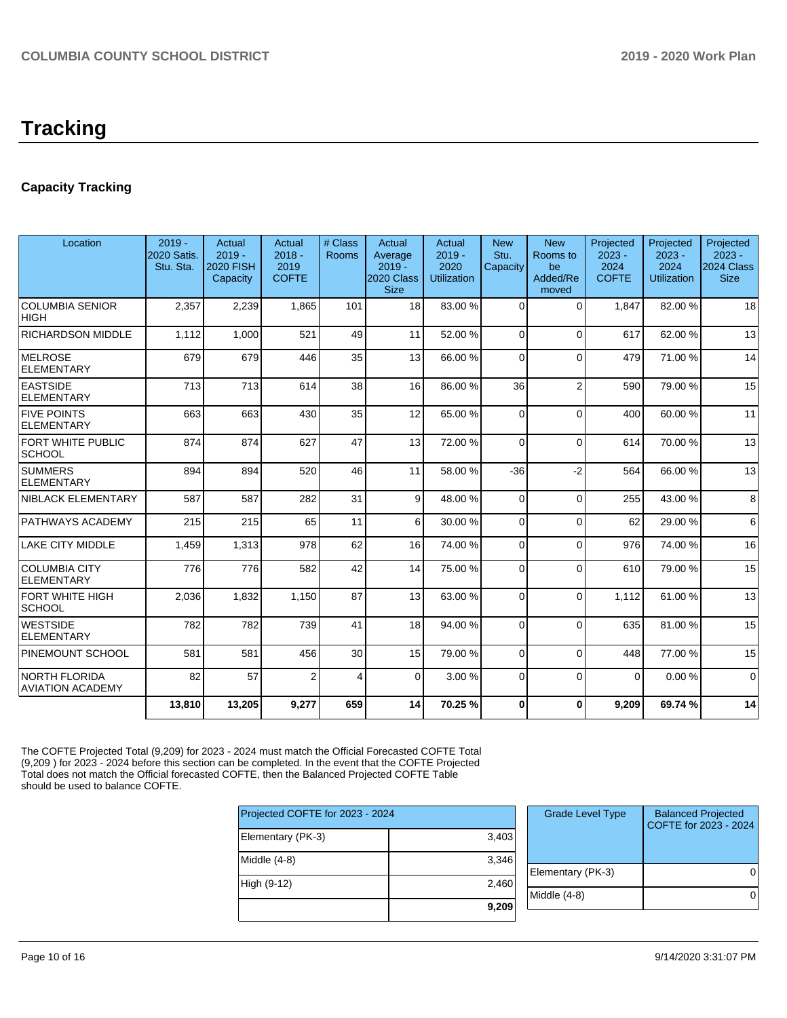# **Tracking**

# **Capacity Tracking**

| Location                                        | $2019 -$<br>2020 Satis.<br>Stu. Sta. | Actual<br>$2019 -$<br>2020 FISH<br>Capacity | Actual<br>$2018 -$<br>2019<br><b>COFTE</b> | # Class<br>Rooms | Actual<br>Average<br>$2019 -$<br>2020 Class<br><b>Size</b> | Actual<br>$2019 -$<br>2020<br><b>Utilization</b> | <b>New</b><br>Stu.<br>Capacity | <b>New</b><br>Rooms to<br>be<br>Added/Re<br>moved | Projected<br>$2023 -$<br>2024<br><b>COFTE</b> | Projected<br>$2023 -$<br>2024<br><b>Utilization</b> | Projected<br>$2023 -$<br>2024 Class<br><b>Size</b> |
|-------------------------------------------------|--------------------------------------|---------------------------------------------|--------------------------------------------|------------------|------------------------------------------------------------|--------------------------------------------------|--------------------------------|---------------------------------------------------|-----------------------------------------------|-----------------------------------------------------|----------------------------------------------------|
| COLUMBIA SENIOR<br> HIGH                        | 2,357                                | 2,239                                       | 1.865                                      | 101              | 18                                                         | 83.00 %                                          | $\Omega$                       | $\Omega$                                          | 1.847                                         | 82.00 %                                             | 18                                                 |
| <b>RICHARDSON MIDDLE</b>                        | 1.112                                | 1.000                                       | 521                                        | 49               | 11                                                         | 52.00 %                                          | $\Omega$                       | $\Omega$                                          | 617                                           | 62.00%                                              | 13                                                 |
| MELROSE<br>ELEMENTARY                           | 679                                  | 679                                         | 446                                        | 35               | 13                                                         | 66.00 %                                          | $\Omega$                       | $\Omega$                                          | 479                                           | 71.00%                                              | 14                                                 |
| <b>EASTSIDE</b><br>ELEMENTARY                   | 713                                  | 713                                         | 614                                        | 38               | 16                                                         | 86.00 %                                          | 36                             | $\overline{2}$                                    | 590                                           | 79.00 %                                             | 15                                                 |
| <b>FIVE POINTS</b><br>ELEMENTARY                | 663                                  | 663                                         | 430                                        | 35               | 12                                                         | 65.00 %                                          | 0                              | $\Omega$                                          | 400                                           | 60.00%                                              | 11                                                 |
| <b>FORT WHITE PUBLIC</b><br><b>SCHOOL</b>       | 874                                  | 874                                         | 627                                        | 47               | 13                                                         | 72.00 %                                          | $\Omega$                       | $\Omega$                                          | 614                                           | 70.00%                                              | 13                                                 |
| <b>SUMMERS</b><br>ELEMENTARY                    | 894                                  | 894                                         | 520                                        | 46               | 11                                                         | 58.00 %                                          | $-36$                          | $-2$                                              | 564                                           | 66.00 %                                             | 13                                                 |
| NIBLACK ELEMENTARY                              | 587                                  | 587                                         | 282                                        | 31               | 9                                                          | 48.00 %                                          | $\Omega$                       | $\Omega$                                          | 255                                           | 43.00 %                                             | 8                                                  |
| <b>PATHWAYS ACADEMY</b>                         | 215                                  | 215                                         | 65                                         | 11               | 6                                                          | 30.00 %                                          | $\Omega$                       | $\Omega$                                          | 62                                            | 29.00 %                                             | 6                                                  |
| <b>LAKE CITY MIDDLE</b>                         | 1,459                                | 1,313                                       | 978                                        | 62               | 16                                                         | 74.00 %                                          | $\Omega$                       | $\Omega$                                          | 976                                           | 74.00 %                                             | 16                                                 |
| <b>COLUMBIA CITY</b><br>ELEMENTARY              | 776                                  | 776                                         | 582                                        | 42               | 14                                                         | 75.00 %                                          | 0                              | $\Omega$                                          | 610                                           | 79.00 %                                             | 15                                                 |
| FORT WHITE HIGH<br> SCHOOL                      | 2,036                                | 1,832                                       | 1,150                                      | 87               | 13                                                         | 63.00 %                                          | 0                              | $\Omega$                                          | 1.112                                         | 61.00%                                              | 13                                                 |
| <b>WESTSIDE</b><br>ELEMENTARY                   | 782                                  | 782                                         | 739                                        | 41               | 18                                                         | 94.00 %                                          | $\Omega$                       | $\Omega$                                          | 635                                           | 81.00%                                              | 15                                                 |
| <b>PINEMOUNT SCHOOL</b>                         | 581                                  | 581                                         | 456                                        | 30               | 15                                                         | 79.00 %                                          | $\Omega$                       | $\Omega$                                          | 448                                           | 77.00 %                                             | 15                                                 |
| <b>NORTH FLORIDA</b><br><b>AVIATION ACADEMY</b> | 82                                   | 57                                          | 2                                          | 4                | $\Omega$                                                   | 3.00 %                                           | 0                              | $\Omega$                                          | $\Omega$                                      | 0.00%                                               | $\mathbf 0$                                        |
|                                                 | 13.810                               | 13,205                                      | 9.277                                      | 659              | 14                                                         | 70.25 %                                          | $\bf{0}$                       | $\Omega$                                          | 9.209                                         | 69.74 %                                             | 14                                                 |

The COFTE Projected Total (9,209) for 2023 - 2024 must match the Official Forecasted COFTE Total (9,209 ) for 2023 - 2024 before this section can be completed. In the event that the COFTE Projected Total does not match the Official forecasted COFTE, then the Balanced Projected COFTE Table should be used to balance COFTE.

| Projected COFTE for 2023 - 2024 | Grade |            |
|---------------------------------|-------|------------|
| Elementary (PK-3)               | 3,403 |            |
| Middle $(4-8)$                  | 3,346 | Elementar  |
| High (9-12)                     | 2,460 | Middle (4- |
|                                 | 9,209 |            |

| <b>Grade Level Type</b> | <b>Balanced Projected</b><br>COFTE for 2023 - 2024 |
|-------------------------|----------------------------------------------------|
| Elementary (PK-3)       |                                                    |
| Middle $(4-8)$          |                                                    |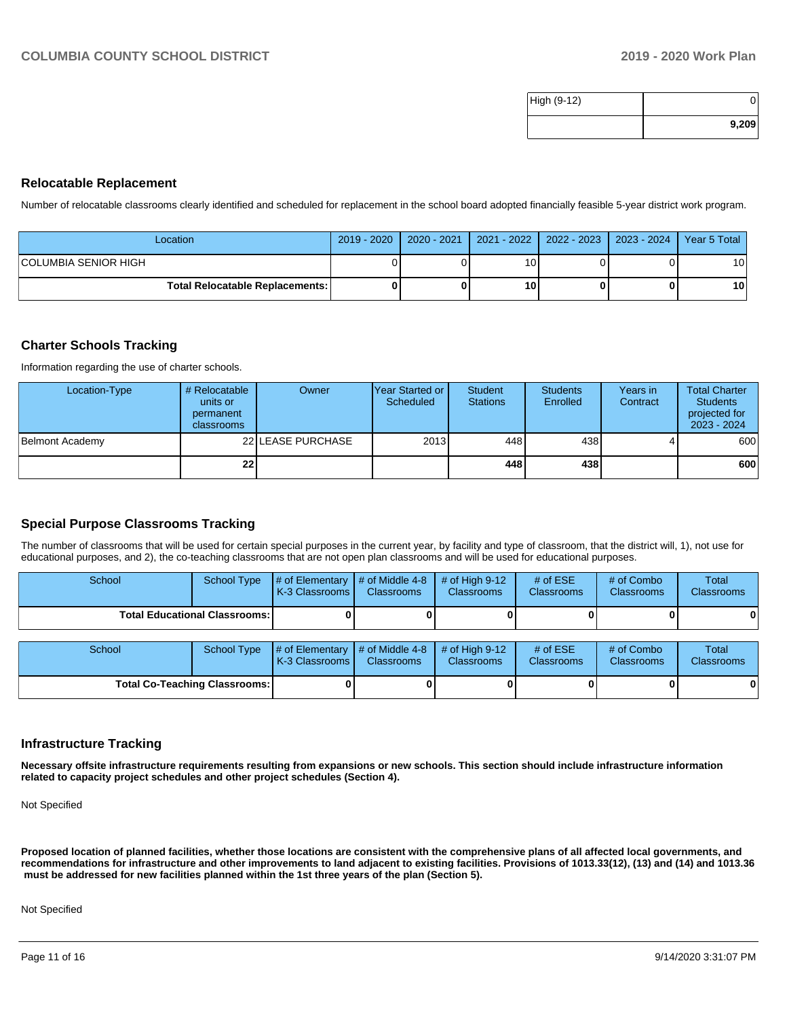| High (9-12) |       |
|-------------|-------|
|             | 9,209 |

## **Relocatable Replacement**

Number of relocatable classrooms clearly identified and scheduled for replacement in the school board adopted financially feasible 5-year district work program.

| Location                               | 2019 - 2020 | $2020 - 2021$ |    | 2021 - 2022   2022 - 2023   2023 - 2024   Year 5 Total |                 |
|----------------------------------------|-------------|---------------|----|--------------------------------------------------------|-----------------|
| ICOLUMBIA SENIOR HIGH                  |             |               |    |                                                        | 10              |
| <b>Total Relocatable Replacements:</b> |             |               | 10 |                                                        | 10 <sup>1</sup> |

## **Charter Schools Tracking**

Information regarding the use of charter schools.

| Location-Type   | # Relocatable<br>units or<br>permanent<br><b>classrooms</b> | Owner             | lYear Started or I<br>Scheduled | Student<br><b>Stations</b> | <b>Students</b><br>Enrolled | Years in<br>Contract | <b>Total Charter</b><br><b>Students</b><br>projected for<br>$2023 - 2024$ |
|-----------------|-------------------------------------------------------------|-------------------|---------------------------------|----------------------------|-----------------------------|----------------------|---------------------------------------------------------------------------|
| Belmont Academy |                                                             | 22 LEASE PURCHASE | 2013                            | 448                        | 438 l                       |                      | 600                                                                       |
|                 | 22                                                          |                   |                                 | 448                        | 438 l                       |                      | 600                                                                       |

# **Special Purpose Classrooms Tracking**

The number of classrooms that will be used for certain special purposes in the current year, by facility and type of classroom, that the district will, 1), not use for educational purposes, and 2), the co-teaching classrooms that are not open plan classrooms and will be used for educational purposes.

| School                               | School Type | # of Elementary<br>K-3 Classrooms | $\#$ of Middle 4-8<br><b>Classrooms</b> | # of High $9-12$<br><b>Classrooms</b> | # of $ESE$<br><b>Classrooms</b> | # of Combo<br><b>Classrooms</b> | Total<br><b>Classrooms</b> |
|--------------------------------------|-------------|-----------------------------------|-----------------------------------------|---------------------------------------|---------------------------------|---------------------------------|----------------------------|
| <b>Total Educational Classrooms:</b> |             |                                   |                                         |                                       |                                 |                                 | 0                          |
| School                               | School Type | # of Elementary<br>K-3 Classrooms | $\#$ of Middle 4-8<br><b>Classrooms</b> | # of High $9-12$<br><b>Classrooms</b> | # of $ESE$<br>Classrooms        | # of Combo<br><b>Classrooms</b> | <b>Total</b><br>Classrooms |
| <b>Total Co-Teaching Classrooms:</b> |             |                                   |                                         |                                       |                                 | 0                               |                            |

#### **Infrastructure Tracking**

**Necessary offsite infrastructure requirements resulting from expansions or new schools. This section should include infrastructure information related to capacity project schedules and other project schedules (Section 4).** 

Not Specified

**Proposed location of planned facilities, whether those locations are consistent with the comprehensive plans of all affected local governments, and recommendations for infrastructure and other improvements to land adjacent to existing facilities. Provisions of 1013.33(12), (13) and (14) and 1013.36 must be addressed for new facilities planned within the 1st three years of the plan (Section 5).** 

Not Specified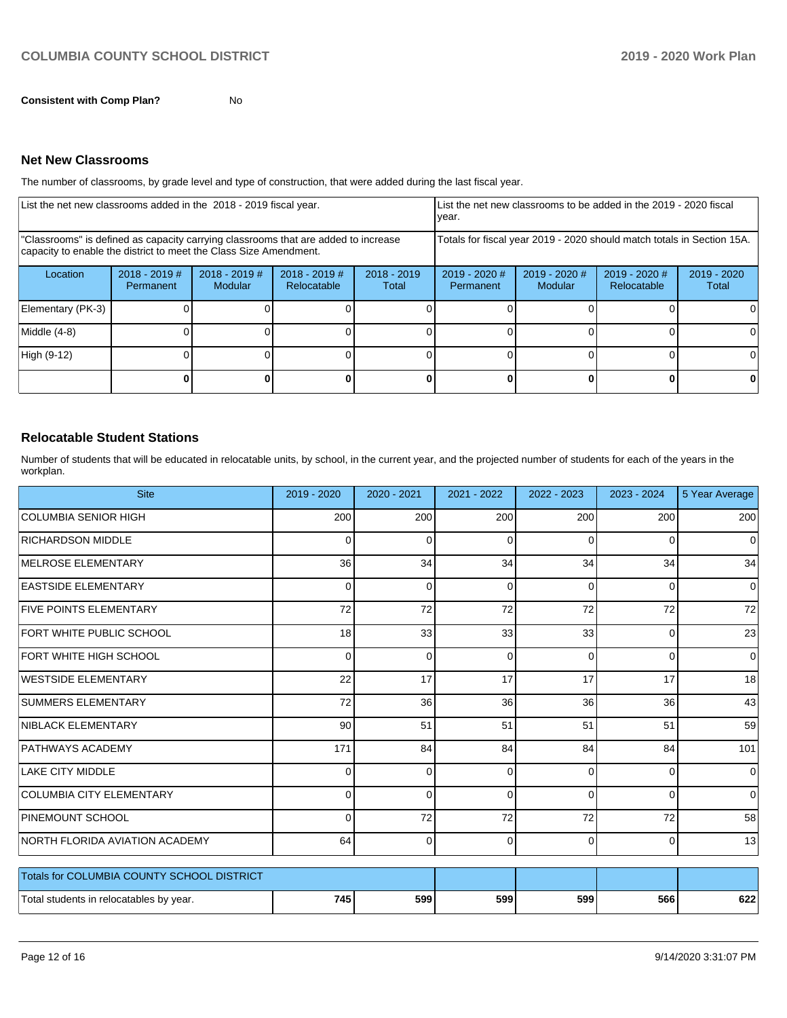**Consistent with Comp Plan?** No

### **Net New Classrooms**

The number of classrooms, by grade level and type of construction, that were added during the last fiscal year.

| List the net new classrooms added in the 2018 - 2019 fiscal year.                                                                                       | List the net new classrooms to be added in the 2019 - 2020 fiscal<br>year. |                            |                                |                        |                                                                        |                            |                                |                      |
|---------------------------------------------------------------------------------------------------------------------------------------------------------|----------------------------------------------------------------------------|----------------------------|--------------------------------|------------------------|------------------------------------------------------------------------|----------------------------|--------------------------------|----------------------|
| "Classrooms" is defined as capacity carrying classrooms that are added to increase<br>capacity to enable the district to meet the Class Size Amendment. |                                                                            |                            |                                |                        | Totals for fiscal year 2019 - 2020 should match totals in Section 15A. |                            |                                |                      |
| Location                                                                                                                                                | $2018 - 2019$ #<br>Permanent                                               | $2018 - 2019$ #<br>Modular | $2018 - 2019$ #<br>Relocatable | $2018 - 2019$<br>Total | $2019 - 2020$ #<br>Permanent                                           | $2019 - 2020$ #<br>Modular | $2019 - 2020$ #<br>Relocatable | 2019 - 2020<br>Total |
| Elementary (PK-3)                                                                                                                                       |                                                                            |                            |                                |                        |                                                                        |                            |                                |                      |
| Middle (4-8)                                                                                                                                            |                                                                            |                            |                                |                        |                                                                        |                            |                                |                      |
| High (9-12)                                                                                                                                             |                                                                            |                            |                                |                        |                                                                        |                            |                                |                      |
|                                                                                                                                                         |                                                                            |                            |                                |                        |                                                                        |                            |                                |                      |

# **Relocatable Student Stations**

Number of students that will be educated in relocatable units, by school, in the current year, and the projected number of students for each of the years in the workplan.

| <b>Site</b>                                | 2019 - 2020     | 2020 - 2021 | 2021 - 2022 | 2022 - 2023 | 2023 - 2024    | 5 Year Average |
|--------------------------------------------|-----------------|-------------|-------------|-------------|----------------|----------------|
| <b>COLUMBIA SENIOR HIGH</b>                | 200             | 200         | 200         | 200         | 200            | 200            |
| <b>RICHARDSON MIDDLE</b>                   | 0               | 0           | 0           | $\Omega$    | 0              | 0              |
| <b>MELROSE ELEMENTARY</b>                  | 36              | 34          | 34          | 34          | 34             | 34             |
| <b>EASTSIDE ELEMENTARY</b>                 | $\mathbf 0$     | $\Omega$    | 0           | $\Omega$    | 0              | 0              |
| <b>FIVE POINTS ELEMENTARY</b>              | 72              | 72          | 72          | 72          | 72             | 72             |
| <b>FORT WHITE PUBLIC SCHOOL</b>            | 18 <sup>1</sup> | 33          | 33          | 33          | 0              | 23             |
| FORT WHITE HIGH SCHOOL                     | $\overline{0}$  | $\Omega$    | $\mathbf 0$ | $\Omega$    | $\mathbf 0$    | 0              |
| <b>WESTSIDE ELEMENTARY</b>                 | 22              | 17          | 17          | 17          | 17             | 18             |
| <b>SUMMERS ELEMENTARY</b>                  | 72              | 36          | 36          | 36          | 36             | 43             |
| NIBLACK ELEMENTARY                         | 90 <sup>1</sup> | 51          | 51          | 51          | 51             | 59             |
| <b>PATHWAYS ACADEMY</b>                    | 171             | 84          | 84          | 84          | 84             | 101            |
| <b>LAKE CITY MIDDLE</b>                    | $\overline{0}$  | $\Omega$    | $\Omega$    | $\Omega$    | 0              | 0              |
| <b>COLUMBIA CITY ELEMENTARY</b>            | $\overline{0}$  | $\Omega$    | 0           | $\Omega$    | 0              | $\mathbf 0$    |
| PINEMOUNT SCHOOL                           | $\Omega$        | 72          | 72          | 72          | 72             | 58             |
| NORTH FLORIDA AVIATION ACADEMY             | 64              | 0           | $\Omega$    | $\Omega$    | $\overline{0}$ | 13             |
| Totals for COLUMBIA COUNTY SCHOOL DISTRICT |                 |             |             |             |                |                |
| Total students in relocatables by year.    | 745             | 599         | 599         | 599         | 566            | 622            |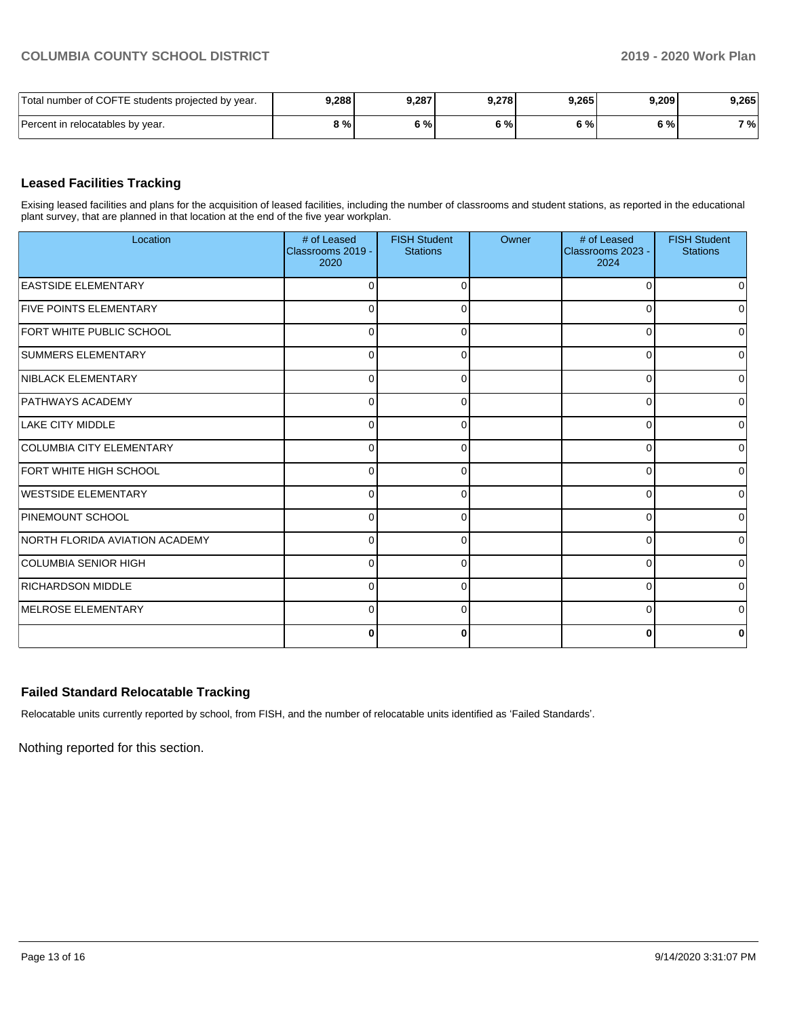| Total number of COFTE students projected by year. | 9,288 | 9,287 | 9.278 | 9,265 | 9.209 | 9,265 |
|---------------------------------------------------|-------|-------|-------|-------|-------|-------|
| Percent in relocatables by year.                  | 9 % L | 6%    | 5%    | 5%    | 6 % l | 7 %   |

# **Leased Facilities Tracking**

Exising leased facilities and plans for the acquisition of leased facilities, including the number of classrooms and student stations, as reported in the educational plant survey, that are planned in that location at the end of the five year workplan.

| Location                       | # of Leased<br>Classrooms 2019 -<br>2020 | <b>FISH Student</b><br><b>Stations</b> | Owner | # of Leased<br>Classrooms 2023 -<br>2024 | <b>FISH Student</b><br><b>Stations</b> |
|--------------------------------|------------------------------------------|----------------------------------------|-------|------------------------------------------|----------------------------------------|
| <b>EASTSIDE ELEMENTARY</b>     | $\Omega$                                 |                                        |       | n                                        | 0                                      |
| <b>FIVE POINTS ELEMENTARY</b>  | $\Omega$                                 |                                        |       | O                                        | $\overline{0}$                         |
| FORT WHITE PUBLIC SCHOOL       | $\Omega$                                 |                                        |       | 0                                        | $\overline{0}$                         |
| <b>SUMMERS ELEMENTARY</b>      | 0                                        |                                        |       | ∩                                        | 0                                      |
| NIBLACK ELEMENTARY             | $\mathbf 0$                              |                                        |       | 0                                        | $\Omega$                               |
| <b>PATHWAYS ACADEMY</b>        | 0                                        | O                                      |       | 0                                        | $\Omega$                               |
| <b>LAKE CITY MIDDLE</b>        | $\Omega$                                 | ∩                                      |       | ∩                                        | $\Omega$                               |
| COLUMBIA CITY ELEMENTARY       | $\Omega$                                 |                                        |       | O                                        | $\overline{0}$                         |
| <b>FORT WHITE HIGH SCHOOL</b>  | $\Omega$                                 |                                        |       | U                                        | $\overline{0}$                         |
| WESTSIDE ELEMENTARY            | $\Omega$                                 |                                        |       | U                                        | $\Omega$                               |
| <b>PINEMOUNT SCHOOL</b>        | $\mathbf 0$                              |                                        |       | U                                        | $\overline{0}$                         |
| NORTH FLORIDA AVIATION ACADEMY | $\Omega$                                 |                                        |       | ∩                                        | 0                                      |
| <b>COLUMBIA SENIOR HIGH</b>    | $\Omega$                                 |                                        |       | U                                        | $\overline{0}$                         |
| <b>RICHARDSON MIDDLE</b>       | $\Omega$                                 |                                        |       | 0                                        | $\overline{0}$                         |
| <b>IMELROSE ELEMENTARY</b>     | $\Omega$                                 | ∩                                      |       | $\Omega$                                 | $\Omega$                               |
|                                | 0                                        | O                                      |       | C                                        | 0                                      |

# **Failed Standard Relocatable Tracking**

Relocatable units currently reported by school, from FISH, and the number of relocatable units identified as 'Failed Standards'.

Nothing reported for this section.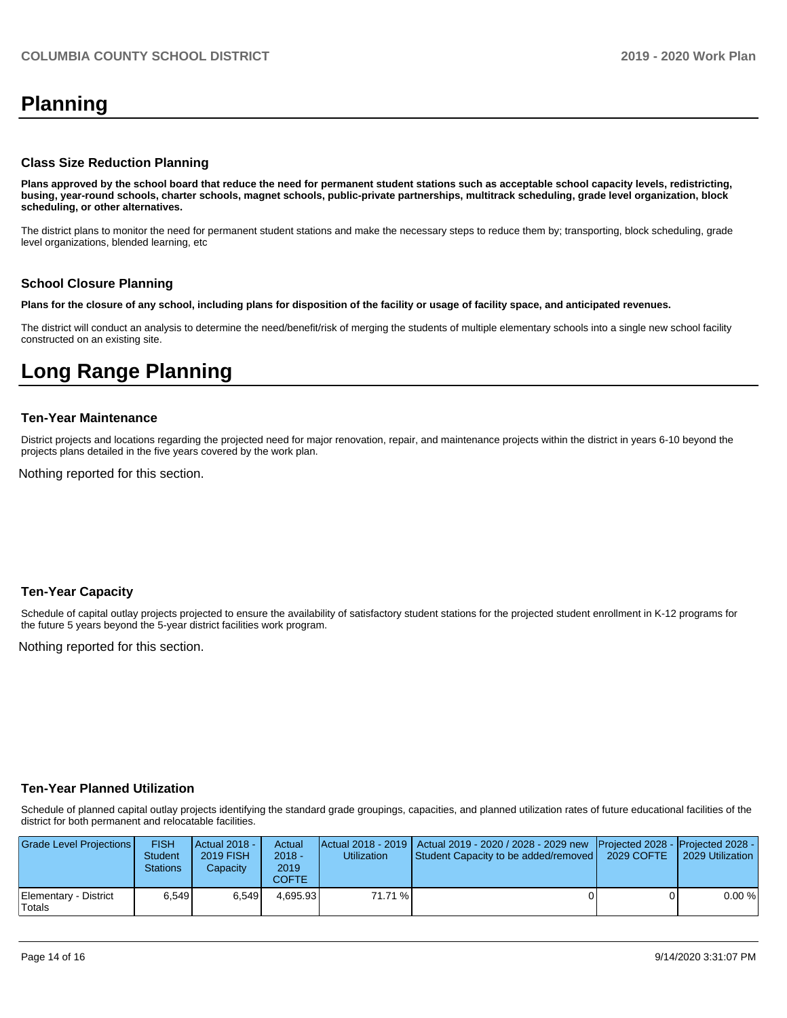# **Planning**

### **Class Size Reduction Planning**

**Plans approved by the school board that reduce the need for permanent student stations such as acceptable school capacity levels, redistricting, busing, year-round schools, charter schools, magnet schools, public-private partnerships, multitrack scheduling, grade level organization, block scheduling, or other alternatives.**

The district plans to monitor the need for permanent student stations and make the necessary steps to reduce them by; transporting, block scheduling, grade level organizations, blended learning, etc

## **School Closure Planning**

**Plans for the closure of any school, including plans for disposition of the facility or usage of facility space, and anticipated revenues.** 

The district will conduct an analysis to determine the need/benefit/risk of merging the students of multiple elementary schools into a single new school facility constructed on an existing site.

# **Long Range Planning**

## **Ten-Year Maintenance**

District projects and locations regarding the projected need for major renovation, repair, and maintenance projects within the district in years 6-10 beyond the projects plans detailed in the five years covered by the work plan.

Nothing reported for this section.

## **Ten-Year Capacity**

Schedule of capital outlay projects projected to ensure the availability of satisfactory student stations for the projected student enrollment in K-12 programs for the future 5 years beyond the 5-year district facilities work program.

Nothing reported for this section.

## **Ten-Year Planned Utilization**

Schedule of planned capital outlay projects identifying the standard grade groupings, capacities, and planned utilization rates of future educational facilities of the district for both permanent and relocatable facilities.

| Grade Level Projections         | <b>FISH</b><br><b>Student</b><br><b>Stations</b> | Actual 2018 -<br><b>2019 FISH</b><br>Capacitv | Actual<br>$2018 -$<br>2019<br>COFTE. | <b>Utilization</b> | Actual 2018 - 2019   Actual 2019 - 2020 / 2028 - 2029 new<br><b>Student Capacity to be added/removed  </b> | <b>Projected 2028 - Projected 2028 -</b><br>2029 COFTE | 2029 Utilization |
|---------------------------------|--------------------------------------------------|-----------------------------------------------|--------------------------------------|--------------------|------------------------------------------------------------------------------------------------------------|--------------------------------------------------------|------------------|
| Elementary - District<br>Totals | 6.549                                            | 6.549                                         | 4.695.93                             | 71.71 %            |                                                                                                            |                                                        | 0.00%            |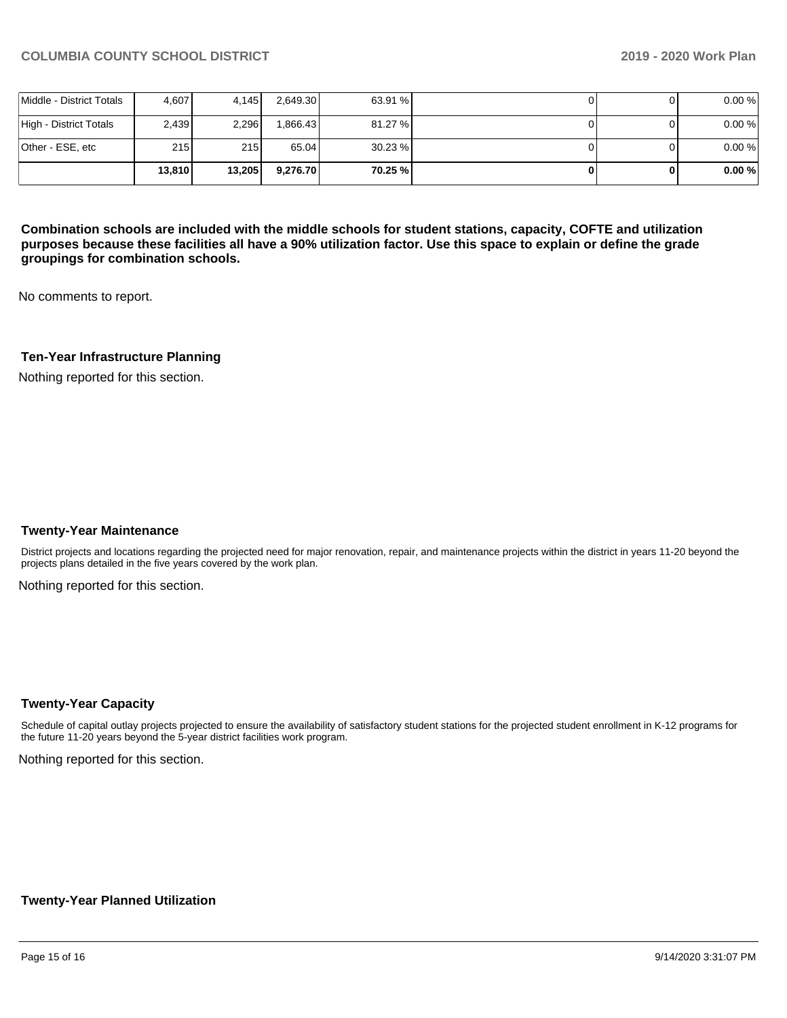|                          | 13.810 | 13,205 | 9.276.70 | 70.25 % |  | 0.00% |
|--------------------------|--------|--------|----------|---------|--|-------|
| Other - ESE, etc         | 215    | 215 l  | 65.04    | 30.23%  |  | 0.00% |
| High - District Totals   | 2,439  | 2.296  | .866.43  | 81.27 % |  | 0.00% |
| Middle - District Totals | 4.607  | 4.145  | 2,649.30 | 63.91 % |  | 0.00% |

**Combination schools are included with the middle schools for student stations, capacity, COFTE and utilization purposes because these facilities all have a 90% utilization factor. Use this space to explain or define the grade groupings for combination schools.** 

No comments to report.

## **Ten-Year Infrastructure Planning**

Nothing reported for this section.

### **Twenty-Year Maintenance**

District projects and locations regarding the projected need for major renovation, repair, and maintenance projects within the district in years 11-20 beyond the projects plans detailed in the five years covered by the work plan.

Nothing reported for this section.

## **Twenty-Year Capacity**

Schedule of capital outlay projects projected to ensure the availability of satisfactory student stations for the projected student enrollment in K-12 programs for the future 11-20 years beyond the 5-year district facilities work program.

Nothing reported for this section.

### **Twenty-Year Planned Utilization**